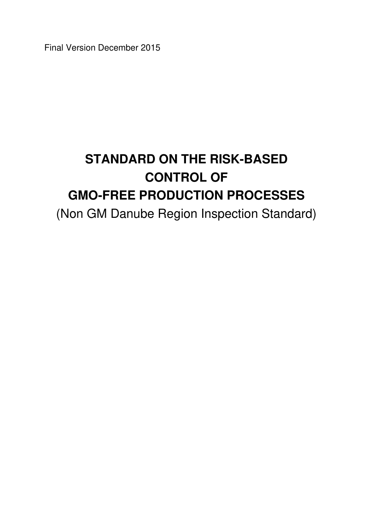Final Version December 2015

# **STANDARD ON THE RISK-BASED CONTROL OF GMO-FREE PRODUCTION PROCESSES**

(Non GM Danube Region Inspection Standard)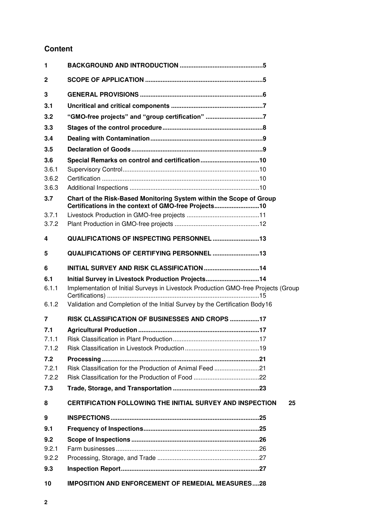# **Content**

| 1              |                                                                                                                             |
|----------------|-----------------------------------------------------------------------------------------------------------------------------|
| $\mathbf{2}$   |                                                                                                                             |
| 3              |                                                                                                                             |
| 3.1            |                                                                                                                             |
| 3.2            | "GMO-free projects" and "group certification" 7                                                                             |
| 3.3            |                                                                                                                             |
| 3.4            |                                                                                                                             |
| 3.5            |                                                                                                                             |
| 3.6            | Special Remarks on control and certification10                                                                              |
| 3.6.1          |                                                                                                                             |
| 3.6.2          |                                                                                                                             |
| 3.6.3          |                                                                                                                             |
| 3.7            | Chart of the Risk-Based Monitoring System within the Scope of Group<br>Certifications in the context of GMO-free Projects10 |
| 3.7.1          |                                                                                                                             |
| 3.7.2          |                                                                                                                             |
| 4              | QUALIFICATIONS OF INSPECTING PERSONNEL 13                                                                                   |
| 5              | <b>QUALIFICATIONS OF CERTIFYING PERSONNEL 13</b>                                                                            |
| 6              |                                                                                                                             |
| 6.1            | Initial Survey in Livestock Production Projects14                                                                           |
| 6.1.1          | Implementation of Initial Surveys in Livestock Production GMO-free Projects (Group                                          |
| 6.1.2          | Validation and Completion of the Initial Survey by the Certification Body16                                                 |
| $\overline{7}$ | RISK CLASSIFICATION OF BUSINESSES AND CROPS 17                                                                              |
| 7.1            |                                                                                                                             |
| 7.1.1          |                                                                                                                             |
| 7.1.2          |                                                                                                                             |
| 7.2<br>7.2.1   | Risk Classification for the Production of Animal Feed 21                                                                    |
| 7.2.2          |                                                                                                                             |
| 7.3            |                                                                                                                             |
| 8              | CERTIFICATION FOLLOWING THE INITIAL SURVEY AND INSPECTION<br>25                                                             |
| 9              |                                                                                                                             |
| 9.1            |                                                                                                                             |
| 9.2            |                                                                                                                             |
| 9.2.1          |                                                                                                                             |
| 9.2.2          |                                                                                                                             |
| 9.3            |                                                                                                                             |
| 10             | <b>IMPOSITION AND ENFORCEMENT OF REMEDIAL MEASURES28</b>                                                                    |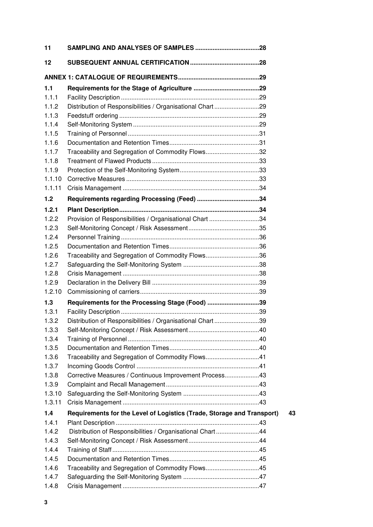| 11     |                                                                        |    |
|--------|------------------------------------------------------------------------|----|
| 12     |                                                                        |    |
|        |                                                                        |    |
| 1.1    |                                                                        |    |
| 1.1.1  |                                                                        |    |
| 1.1.2  | Distribution of Responsibilities / Organisational Chart 29             |    |
| 1.1.3  |                                                                        |    |
| 1.1.4  |                                                                        |    |
| 1.1.5  |                                                                        |    |
| 1.1.6  |                                                                        |    |
| 1.1.7  | Traceability and Segregation of Commodity Flows32                      |    |
| 1.1.8  |                                                                        |    |
| 1.1.9  |                                                                        |    |
| 1.1.10 |                                                                        |    |
| 1.1.11 |                                                                        |    |
| 1.2    |                                                                        |    |
| 1.2.1  |                                                                        |    |
| 1.2.2  | Provision of Responsibilities / Organisational Chart 34                |    |
| 1.2.3  |                                                                        |    |
| 1.2.4  |                                                                        |    |
| 1.2.5  |                                                                        |    |
| 1.2.6  | Traceability and Segregation of Commodity Flows36                      |    |
| 1.2.7  |                                                                        |    |
| 1.2.8  |                                                                        |    |
| 1.2.9  |                                                                        |    |
| 1.2.10 |                                                                        |    |
| 1.3    | Requirements for the Processing Stage (Food) 39                        |    |
| 1.3.1  |                                                                        |    |
| 1.3.2  | Distribution of Responsibilities / Organisational Chart39              |    |
| 1.3.3  |                                                                        |    |
| 1.3.4  |                                                                        |    |
| 1.3.5  |                                                                        |    |
| 1.3.6  | Traceability and Segregation of Commodity Flows41                      |    |
| 1.3.7  |                                                                        |    |
| 1.3.8  | Corrective Measures / Continuous Improvement Process43                 |    |
| 1.3.9  |                                                                        |    |
| 1.3.10 |                                                                        |    |
| 1.3.11 |                                                                        |    |
| 1.4    | Requirements for the Level of Logistics (Trade, Storage and Transport) | 43 |
| 1.4.1  |                                                                        |    |
| 1.4.2  | Distribution of Responsibilities / Organisational Chart44              |    |
| 1.4.3  |                                                                        |    |
| 1.4.4  |                                                                        |    |
| 1.4.5  |                                                                        |    |
| 1.4.6  | Traceability and Segregation of Commodity Flows45                      |    |
| 1.4.7  |                                                                        |    |
| 1.4.8  |                                                                        |    |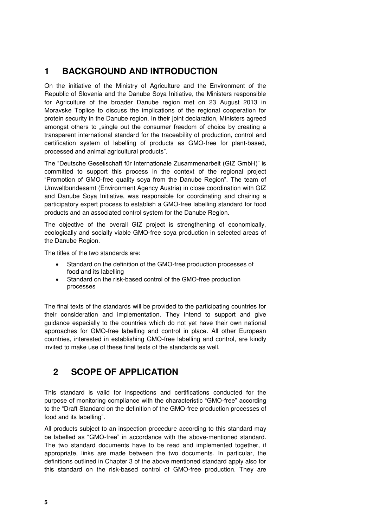# <span id="page-4-0"></span>**1 BACKGROUND AND INTRODUCTION**

On the initiative of the Ministry of Agriculture and the Environment of the Republic of Slovenia and the Danube Soya Initiative, the Ministers responsible for Agriculture of the broader Danube region met on 23 August 2013 in Moravske Toplice to discuss the implications of the regional cooperation for protein security in the Danube region. In their joint declaration, Ministers agreed amongst others to "single out the consumer freedom of choice by creating a transparent international standard for the traceability of production, control and certification system of labelling of products as GMO-free for plant-based, processed and animal agricultural products".

The "Deutsche Gesellschaft für Internationale Zusammenarbeit (GIZ GmbH)" is committed to support this process in the context of the regional project "Promotion of GMO-free quality soya from the Danube Region". The team of Umweltbundesamt (Environment Agency Austria) in close coordination with GIZ and Danube Soya Initiative, was responsible for coordinating and chairing a participatory expert process to establish a GMO-free labelling standard for food products and an associated control system for the Danube Region.

The objective of the overall GIZ project is strengthening of economically, ecologically and socially viable GMO-free soya production in selected areas of the Danube Region.

The titles of the two standards are:

- Standard on the definition of the GMO-free production processes of food and its labelling
- Standard on the risk-based control of the GMO-free production processes

The final texts of the standards will be provided to the participating countries for their consideration and implementation. They intend to support and give guidance especially to the countries which do not yet have their own national approaches for GMO-free labelling and control in place. All other European countries, interested in establishing GMO-free labelling and control, are kindly invited to make use of these final texts of the standards as well.

# <span id="page-4-1"></span>**2 SCOPE OF APPLICATION**

This standard is valid for inspections and certifications conducted for the purpose of monitoring compliance with the characteristic "GMO-free" according to the "Draft Standard on the definition of the GMO-free production processes of food and its labelling".

All products subject to an inspection procedure according to this standard may be labelled as "GMO-free" in accordance with the above-mentioned standard. The two standard documents have to be read and implemented together, if appropriate, links are made between the two documents. In particular, the definitions outlined in Chapter 3 of the above mentioned standard apply also for this standard on the risk-based control of GMO-free production. They are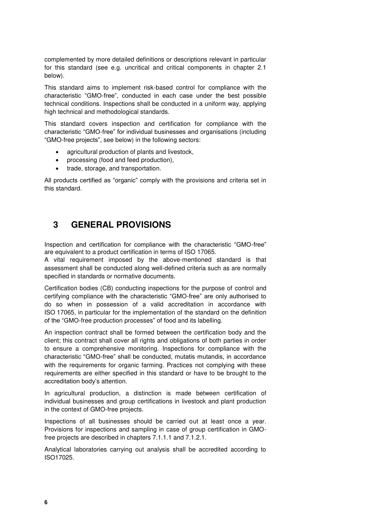complemented by more detailed definitions or descriptions relevant in particular for this standard (see e.g. uncritical and critical components in chapter 2.1 below).

This standard aims to implement risk-based control for compliance with the characteristic "GMO-free", conducted in each case under the best possible technical conditions. Inspections shall be conducted in a uniform way, applying high technical and methodological standards.

This standard covers inspection and certification for compliance with the characteristic "GMO-free" for individual businesses and organisations (including "GMO-free projects", see below) in the following sectors:

- agricultural production of plants and livestock,
- processing (food and feed production),
- trade, storage, and transportation.

All products certified as "organic" comply with the provisions and criteria set in this standard.

# <span id="page-5-0"></span>**3 GENERAL PROVISIONS**

Inspection and certification for compliance with the characteristic "GMO-free" are equivalent to a product certification in terms of ISO 17065.

A vital requirement imposed by the above-mentioned standard is that assessment shall be conducted along well-defined criteria such as are normally specified in standards or normative documents.

Certification bodies (CB) conducting inspections for the purpose of control and certifying compliance with the characteristic "GMO-free" are only authorised to do so when in possession of a valid accreditation in accordance with ISO 17065, in particular for the implementation of the standard on the definition of the "GMO-free production processes" of food and its labelling.

An inspection contract shall be formed between the certification body and the client; this contract shall cover all rights and obligations of both parties in order to ensure a comprehensive monitoring. Inspections for compliance with the characteristic "GMO-free" shall be conducted, mutatis mutandis, in accordance with the requirements for organic farming. Practices not complying with these requirements are either specified in this standard or have to be brought to the accreditation body's attention.

In agricultural production, a distinction is made between certification of individual businesses and group certifications in livestock and plant production in the context of GMO-free projects.

Inspections of all businesses should be carried out at least once a year. Provisions for inspections and sampling in case of group certification in GMOfree projects are described in chapters 7.1.1.1 and 7.1.2.1.

Analytical laboratories carrying out analysis shall be accredited according to ISO17025.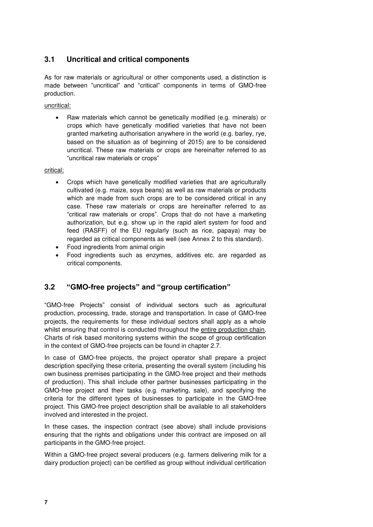### <span id="page-6-0"></span>**3.1 Uncritical and critical components**

As for raw materials or agricultural or other components used, a distinction is made between "uncritical" and "critical" components in terms of GMO-free production.

uncritical:

 Raw materials which cannot be genetically modified (e.g. minerals) or crops which have genetically modified varieties that have not been granted marketing authorisation anywhere in the world (e.g. barley, rye, based on the situation as of beginning of 2015) are to be considered uncritical. These raw materials or crops are hereinafter referred to as "uncritical raw materials or crops"

critical:

- Crops which have genetically modified varieties that are agriculturally cultivated (e.g. maize, soya beans) as well as raw materials or products which are made from such crops are to be considered critical in any case. These raw materials or crops are hereinafter referred to as "critical raw materials or crops". Crops that do not have a marketing authorization, but e.g. show up in the rapid alert system for food and feed (RASFF) of the EU regularly (such as rice, papaya) may be regarded as critical components as well (see Annex 2 to this standard).
- Food ingredients from animal origin
- Food ingredients such as enzymes, additives etc. are regarded as critical components.

#### <span id="page-6-1"></span>**3.2 "GMO-free projects" and "group certification"**

"GMO-free Projects" consist of individual sectors such as agricultural production, processing, trade, storage and transportation. In case of GMO-free projects, the requirements for these individual sectors shall apply as a whole whilst ensuring that control is conducted throughout the entire production chain. Charts of risk based monitoring systems within the scope of group certification in the context of GMO-free projects can be found in chapter 2.7.

In case of GMO-free projects, the project operator shall prepare a project description specifying these criteria, presenting the overall system (including his own business premises participating in the GMO-free project and their methods of production). This shall include other partner businesses participating in the GMO-free project and their tasks (e.g. marketing, sale), and specifying the criteria for the different types of businesses to participate in the GMO-free project. This GMO-free project description shall be available to all stakeholders involved and interested in the project.

In these cases, the inspection contract (see above) shall include provisions ensuring that the rights and obligations under this contract are imposed on all participants in the GMO-free project.

Within a GMO-free project several producers (e.g. farmers delivering milk for a dairy production project) can be certified as group without individual certification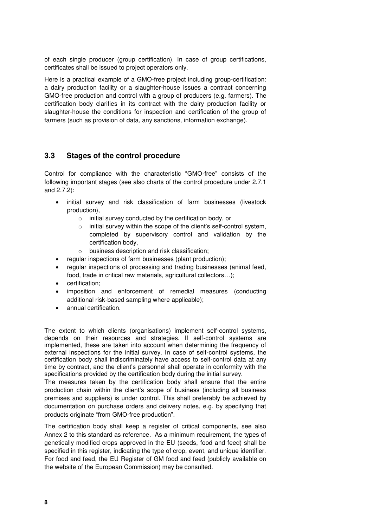of each single producer (group certification). In case of group certifications, certificates shall be issued to project operators only.

Here is a practical example of a GMO-free project including group-certification: a dairy production facility or a slaughter-house issues a contract concerning GMO-free production and control with a group of producers (e.g. farmers). The certification body clarifies in its contract with the dairy production facility or slaughter-house the conditions for inspection and certification of the group of farmers (such as provision of data, any sanctions, information exchange).

### <span id="page-7-0"></span>**3.3 Stages of the control procedure**

Control for compliance with the characteristic "GMO-free" consists of the following important stages (see also charts of the control procedure under 2.7.1 and 2.7.2):

- initial survey and risk classification of farm businesses (livestock production),
	- o initial survey conducted by the certification body, or
	- o initial survey within the scope of the client's self-control system, completed by supervisory control and validation by the certification body,
	- o business description and risk classification;
	- regular inspections of farm businesses (plant production);
- regular inspections of processing and trading businesses (animal feed, food, trade in critical raw materials, agricultural collectors…);
- certification;
- imposition and enforcement of remedial measures (conducting additional risk-based sampling where applicable);
- annual certification.

The extent to which clients (organisations) implement self-control systems, depends on their resources and strategies. If self-control systems are implemented, these are taken into account when determining the frequency of external inspections for the initial survey. In case of self-control systems, the certification body shall indiscriminately have access to self-control data at any time by contract, and the client's personnel shall operate in conformity with the specifications provided by the certification body during the initial survey.

The measures taken by the certification body shall ensure that the entire production chain within the client's scope of business (including all business premises and suppliers) is under control. This shall preferably be achieved by documentation on purchase orders and delivery notes, e.g. by specifying that products originate "from GMO-free production".

The certification body shall keep a register of critical components, see also Annex 2 to this standard as reference. As a minimum requirement, the types of genetically modified crops approved in the EU (seeds, food and feed) shall be specified in this register, indicating the type of crop, event, and unique identifier. For food and feed, the EU Register of GM food and feed (publicly available on the website of the European Commission) may be consulted.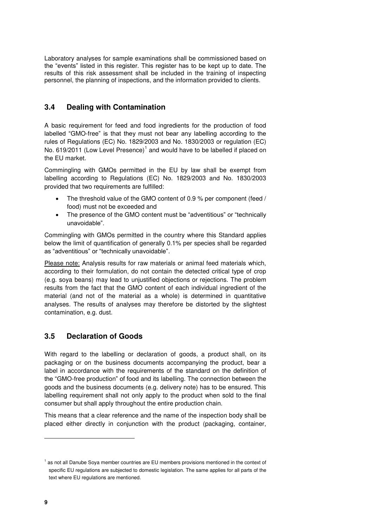Laboratory analyses for sample examinations shall be commissioned based on the "events" listed in this register. This register has to be kept up to date. The results of this risk assessment shall be included in the training of inspecting personnel, the planning of inspections, and the information provided to clients.

#### <span id="page-8-0"></span>**3.4 Dealing with Contamination**

A basic requirement for feed and food ingredients for the production of food labelled "GMO-free" is that they must not bear any labelling according to the rules of Regulations (EC) No. 1829/2003 and No. 1830/2003 or regulation (EC) No. 619/2011 (Low Level Presence) $^1$  and would have to be labelled if placed on the EU market.

Commingling with GMOs permitted in the EU by law shall be exempt from labelling according to Regulations (EC) No. 1829/2003 and No. 1830/2003 provided that two requirements are fulfilled:

- The threshold value of the GMO content of 0.9 % per component (feed / food) must not be exceeded and
- The presence of the GMO content must be "adventitious" or "technically unavoidable".

Commingling with GMOs permitted in the country where this Standard applies below the limit of quantification of generally 0.1% per species shall be regarded as "adventitious" or "technically unavoidable".

Please note: Analysis results for raw materials or animal feed materials which, according to their formulation, do not contain the detected critical type of crop (e.g. soya beans) may lead to unjustified objections or rejections. The problem results from the fact that the GMO content of each individual ingredient of the material (and not of the material as a whole) is determined in quantitative analyses. The results of analyses may therefore be distorted by the slightest contamination, e.g. dust.

# <span id="page-8-1"></span>**3.5 Declaration of Goods**

With regard to the labelling or declaration of goods, a product shall, on its packaging or on the business documents accompanying the product, bear a label in accordance with the requirements of the standard on the definition of the "GMO-free production" of food and its labelling. The connection between the goods and the business documents (e.g. delivery note) has to be ensured. This labelling requirement shall not only apply to the product when sold to the final consumer but shall apply throughout the entire production chain.

This means that a clear reference and the name of the inspection body shall be placed either directly in conjunction with the product (packaging, container,

j

<sup>&</sup>lt;sup>1</sup> as not all Danube Soya member countries are EU members provisions mentioned in the context of specific EU regulations are subjected to domestic legislation. The same applies for all parts of the text where EU regulations are mentioned.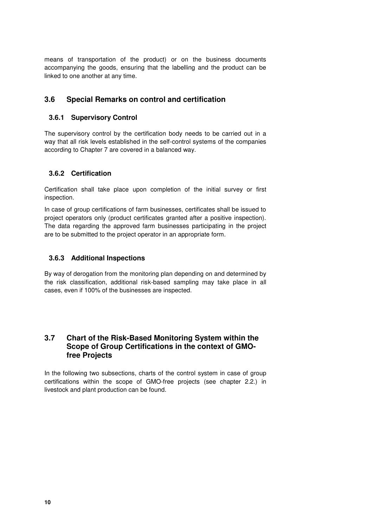means of transportation of the product) or on the business documents accompanying the goods, ensuring that the labelling and the product can be linked to one another at any time.

#### <span id="page-9-0"></span>**3.6 Special Remarks on control and certification**

#### <span id="page-9-1"></span>**3.6.1 Supervisory Control**

The supervisory control by the certification body needs to be carried out in a way that all risk levels established in the self-control systems of the companies according to Chapter 7 are covered in a balanced way.

#### <span id="page-9-2"></span>**3.6.2 Certification**

Certification shall take place upon completion of the initial survey or first inspection.

In case of group certifications of farm businesses, certificates shall be issued to project operators only (product certificates granted after a positive inspection). The data regarding the approved farm businesses participating in the project are to be submitted to the project operator in an appropriate form.

#### <span id="page-9-3"></span>**3.6.3 Additional Inspections**

By way of derogation from the monitoring plan depending on and determined by the risk classification, additional risk-based sampling may take place in all cases, even if 100% of the businesses are inspected.

#### <span id="page-9-4"></span>**3.7 Chart of the Risk-Based Monitoring System within the Scope of Group Certifications in the context of GMOfree Projects**

In the following two subsections, charts of the control system in case of group certifications within the scope of GMO-free projects (see chapter 2.2.) in livestock and plant production can be found.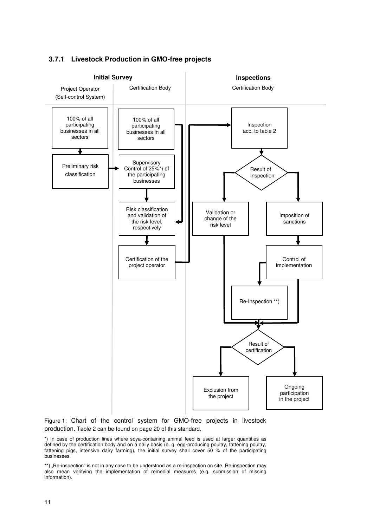

# <span id="page-10-0"></span>**3.7.1 Livestock Production in GMO-free projects**

Figure 1: Chart of the control system for GMO-free projects in livestock production. Table 2 can be found on page 20 of this standard.

\*) In case of production lines where soya-containing animal feed is used at larger quantities as defined by the certification body and on a daily basis (e. g. egg-producing poultry, fattening poultry, fattening pigs, intensive dairy farming), the initial survey shall cover 50 % of the participating businesses.

\*\*) "Re-inspection" is not in any case to be understood as a re-inspection on site. Re-inspection may also mean verifying the implementation of remedial measures (e.g. submission of missing information).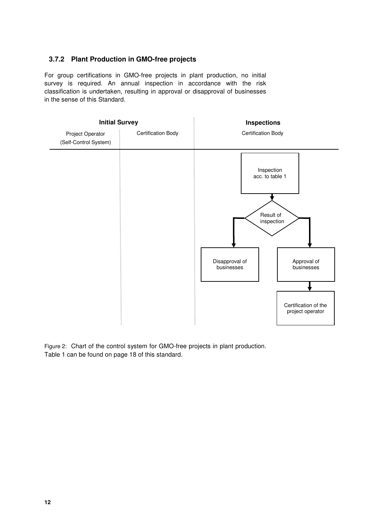#### <span id="page-11-0"></span>**3.7.2 Plant Production in GMO-free projects**

For group certifications in GMO-free projects in plant production, no initial survey is required. An annual inspection in accordance with the risk classification is undertaken, resulting in approval or disapproval of businesses in the sense of this Standard.



Figure 2: Chart of the control system for GMO-free projects in plant production. Table 1 can be found on page 18 of this standard.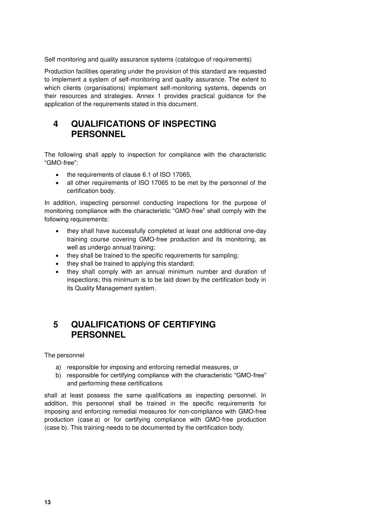Self monitoring and quality assurance systems (catalogue of requirements)

Production facilities operating under the provision of this standard are requested to implement a system of self-monitoring and quality assurance. The extent to which clients (organisations) implement self-monitoring systems, depends on their resources and strategies. Annex 1 provides practical guidance for the application of the requirements stated in this document.

# <span id="page-12-0"></span>**4 QUALIFICATIONS OF INSPECTING PERSONNEL**

The following shall apply to inspection for compliance with the characteristic "GMO-free":

- the requirements of clause 6.1 of ISO 17065,
- all other requirements of ISO 17065 to be met by the personnel of the certification body.

In addition, inspecting personnel conducting inspections for the purpose of monitoring compliance with the characteristic "GMO-free" shall comply with the following requirements:

- they shall have successfully completed at least one additional one-day training course covering GMO-free production and its monitoring, as well as undergo annual training;
- they shall be trained to the specific requirements for sampling;
- they shall be trained to applying this standard;
- they shall comply with an annual minimum number and duration of inspections; this minimum is to be laid down by the certification body in its Quality Management system.

# <span id="page-12-1"></span>**5 QUALIFICATIONS OF CERTIFYING PERSONNEL**

The personnel

- a) responsible for imposing and enforcing remedial measures, or
- b) responsible for certifying compliance with the characteristic "GMO-free" and performing these certifications

shall at least possess the same qualifications as inspecting personnel. In addition, this personnel shall be trained in the specific requirements for imposing and enforcing remedial measures for non-compliance with GMO-free production (case a) or for certifying compliance with GMO-free production (case b). This training needs to be documented by the certification body.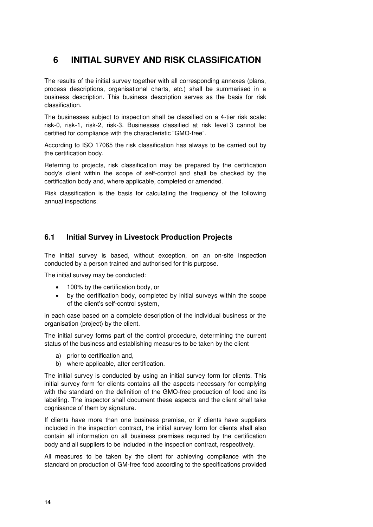# <span id="page-13-0"></span>**6 INITIAL SURVEY AND RISK CLASSIFICATION**

The results of the initial survey together with all corresponding annexes (plans, process descriptions, organisational charts, etc.) shall be summarised in a business description. This business description serves as the basis for risk classification.

The businesses subject to inspection shall be classified on a 4-tier risk scale: risk-0, risk-1, risk-2, risk-3. Businesses classified at risk level 3 cannot be certified for compliance with the characteristic "GMO-free".

According to ISO 17065 the risk classification has always to be carried out by the certification body.

Referring to projects, risk classification may be prepared by the certification body's client within the scope of self-control and shall be checked by the certification body and, where applicable, completed or amended.

Risk classification is the basis for calculating the frequency of the following annual inspections.

# <span id="page-13-1"></span>**6.1 Initial Survey in Livestock Production Projects**

The initial survey is based, without exception, on an on-site inspection conducted by a person trained and authorised for this purpose.

The initial survey may be conducted:

- 100% by the certification body, or
- by the certification body, completed by initial surveys within the scope of the client's self-control system,

in each case based on a complete description of the individual business or the organisation (project) by the client.

The initial survey forms part of the control procedure, determining the current status of the business and establishing measures to be taken by the client

- a) prior to certification and,
- b) where applicable, after certification.

The initial survey is conducted by using an initial survey form for clients. This initial survey form for clients contains all the aspects necessary for complying with the standard on the definition of the GMO-free production of food and its labelling. The inspector shall document these aspects and the client shall take cognisance of them by signature.

If clients have more than one business premise, or if clients have suppliers included in the inspection contract, the initial survey form for clients shall also contain all information on all business premises required by the certification body and all suppliers to be included in the inspection contract, respectively.

All measures to be taken by the client for achieving compliance with the standard on production of GM-free food according to the specifications provided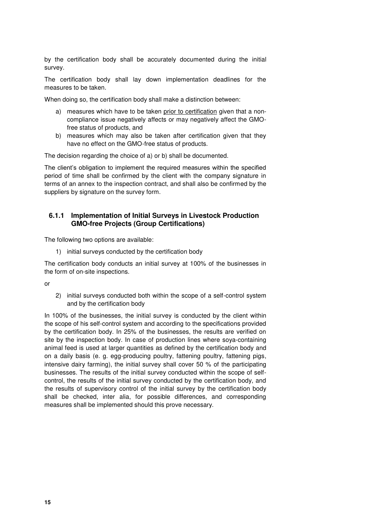by the certification body shall be accurately documented during the initial survey.

The certification body shall lay down implementation deadlines for the measures to be taken.

When doing so, the certification body shall make a distinction between:

- a) measures which have to be taken prior to certification given that a noncompliance issue negatively affects or may negatively affect the GMOfree status of products, and
- b) measures which may also be taken after certification given that they have no effect on the GMO-free status of products.

The decision regarding the choice of a) or b) shall be documented.

The client's obligation to implement the required measures within the specified period of time shall be confirmed by the client with the company signature in terms of an annex to the inspection contract, and shall also be confirmed by the suppliers by signature on the survey form.

#### <span id="page-14-0"></span>**6.1.1 Implementation of Initial Surveys in Livestock Production GMO-free Projects (Group Certifications)**

The following two options are available:

1) initial surveys conducted by the certification body

The certification body conducts an initial survey at 100% of the businesses in the form of on-site inspections.

or

2) initial surveys conducted both within the scope of a self-control system and by the certification body

In 100% of the businesses, the initial survey is conducted by the client within the scope of his self-control system and according to the specifications provided by the certification body. In 25% of the businesses, the results are verified on site by the inspection body. In case of production lines where soya-containing animal feed is used at larger quantities as defined by the certification body and on a daily basis (e. g. egg-producing poultry, fattening poultry, fattening pigs, intensive dairy farming), the initial survey shall cover 50 % of the participating businesses. The results of the initial survey conducted within the scope of selfcontrol, the results of the initial survey conducted by the certification body, and the results of supervisory control of the initial survey by the certification body shall be checked, inter alia, for possible differences, and corresponding measures shall be implemented should this prove necessary.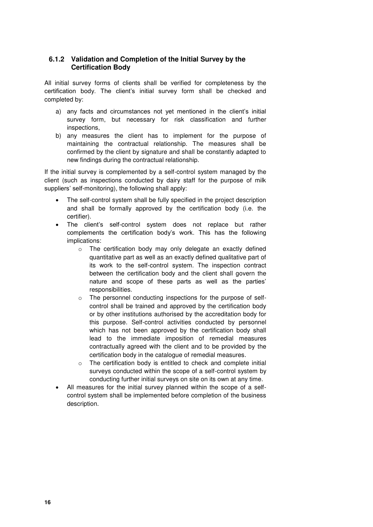#### <span id="page-15-0"></span>**6.1.2 Validation and Completion of the Initial Survey by the Certification Body**

All initial survey forms of clients shall be verified for completeness by the certification body. The client's initial survey form shall be checked and completed by:

- a) any facts and circumstances not yet mentioned in the client's initial survey form, but necessary for risk classification and further inspections,
- b) any measures the client has to implement for the purpose of maintaining the contractual relationship. The measures shall be confirmed by the client by signature and shall be constantly adapted to new findings during the contractual relationship.

If the initial survey is complemented by a self-control system managed by the client (such as inspections conducted by dairy staff for the purpose of milk suppliers' self-monitoring), the following shall apply:

- The self-control system shall be fully specified in the project description and shall be formally approved by the certification body (i.e. the certifier).
- The client's self-control system does not replace but rather complements the certification body's work. This has the following implications:
	- o The certification body may only delegate an exactly defined quantitative part as well as an exactly defined qualitative part of its work to the self-control system. The inspection contract between the certification body and the client shall govern the nature and scope of these parts as well as the parties' responsibilities.
	- o The personnel conducting inspections for the purpose of selfcontrol shall be trained and approved by the certification body or by other institutions authorised by the accreditation body for this purpose. Self-control activities conducted by personnel which has not been approved by the certification body shall lead to the immediate imposition of remedial measures contractually agreed with the client and to be provided by the certification body in the catalogue of remedial measures.
	- o The certification body is entitled to check and complete initial surveys conducted within the scope of a self-control system by conducting further initial surveys on site on its own at any time.
- All measures for the initial survey planned within the scope of a selfcontrol system shall be implemented before completion of the business description.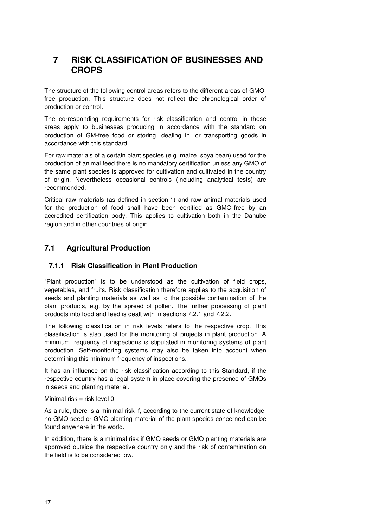# <span id="page-16-0"></span>**7 RISK CLASSIFICATION OF BUSINESSES AND CROPS**

The structure of the following control areas refers to the different areas of GMOfree production. This structure does not reflect the chronological order of production or control.

The corresponding requirements for risk classification and control in these areas apply to businesses producing in accordance with the standard on production of GM-free food or storing, dealing in, or transporting goods in accordance with this standard.

For raw materials of a certain plant species (e.g. maize, soya bean) used for the production of animal feed there is no mandatory certification unless any GMO of the same plant species is approved for cultivation and cultivated in the country of origin. Nevertheless occasional controls (including analytical tests) are recommended.

Critical raw materials (as defined in section 1) and raw animal materials used for the production of food shall have been certified as GMO-free by an accredited certification body. This applies to cultivation both in the Danube region and in other countries of origin.

# <span id="page-16-1"></span>**7.1 Agricultural Production**

#### <span id="page-16-2"></span>**7.1.1 Risk Classification in Plant Production**

"Plant production" is to be understood as the cultivation of field crops, vegetables, and fruits. Risk classification therefore applies to the acquisition of seeds and planting materials as well as to the possible contamination of the plant products, e.g. by the spread of pollen. The further processing of plant products into food and feed is dealt with in sections 7.2.1 and 7.2.2.

The following classification in risk levels refers to the respective crop. This classification is also used for the monitoring of projects in plant production. A minimum frequency of inspections is stipulated in monitoring systems of plant production. Self-monitoring systems may also be taken into account when determining this minimum frequency of inspections.

It has an influence on the risk classification according to this Standard, if the respective country has a legal system in place covering the presence of GMOs in seeds and planting material.

#### Minimal risk  $=$  risk level 0

As a rule, there is a minimal risk if, according to the current state of knowledge, no GMO seed or GMO planting material of the plant species concerned can be found anywhere in the world.

In addition, there is a minimal risk if GMO seeds or GMO planting materials are approved outside the respective country only and the risk of contamination on the field is to be considered low.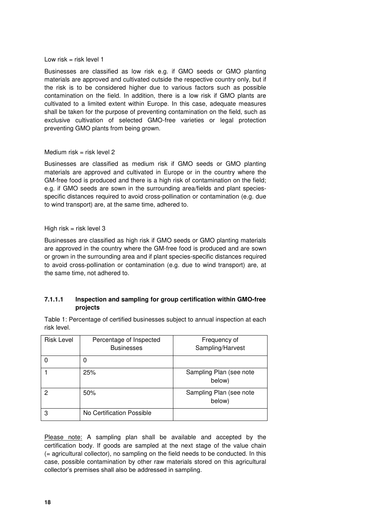#### Low risk  $=$  risk level 1

Businesses are classified as low risk e.g. if GMO seeds or GMO planting materials are approved and cultivated outside the respective country only, but if the risk is to be considered higher due to various factors such as possible contamination on the field. In addition, there is a low risk if GMO plants are cultivated to a limited extent within Europe. In this case, adequate measures shall be taken for the purpose of preventing contamination on the field, such as exclusive cultivation of selected GMO-free varieties or legal protection preventing GMO plants from being grown.

#### Medium risk = risk level  $2$

Businesses are classified as medium risk if GMO seeds or GMO planting materials are approved and cultivated in Europe or in the country where the GM-free food is produced and there is a high risk of contamination on the field; e.g. if GMO seeds are sown in the surrounding area/fields and plant speciesspecific distances required to avoid cross-pollination or contamination (e.g. due to wind transport) are, at the same time, adhered to.

#### High risk  $=$  risk level 3

Businesses are classified as high risk if GMO seeds or GMO planting materials are approved in the country where the GM-free food is produced and are sown or grown in the surrounding area and if plant species-specific distances required to avoid cross-pollination or contamination (e.g. due to wind transport) are, at the same time, not adhered to.

#### **7.1.1.1 Inspection and sampling for group certification within GMO-free projects**

Table 1: Percentage of certified businesses subject to annual inspection at each risk level.

| <b>Risk Level</b> | Percentage of Inspected<br><b>Businesses</b> | Frequency of<br>Sampling/Harvest  |
|-------------------|----------------------------------------------|-----------------------------------|
|                   | 0                                            |                                   |
|                   | 25%                                          | Sampling Plan (see note<br>below) |
| 2                 | 50%                                          | Sampling Plan (see note<br>below) |
| 3                 | No Certification Possible                    |                                   |

Please note: A sampling plan shall be available and accepted by the certification body. If goods are sampled at the next stage of the value chain (= agricultural collector), no sampling on the field needs to be conducted. In this case, possible contamination by other raw materials stored on this agricultural collector's premises shall also be addressed in sampling.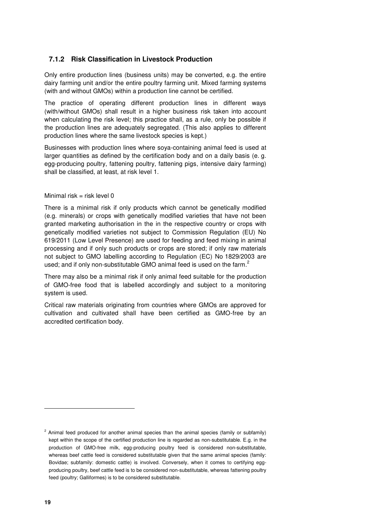#### <span id="page-18-0"></span>**7.1.2 Risk Classification in Livestock Production**

Only entire production lines (business units) may be converted, e.g. the entire dairy farming unit and/or the entire poultry farming unit. Mixed farming systems (with and without GMOs) within a production line cannot be certified.

The practice of operating different production lines in different ways (with/without GMOs) shall result in a higher business risk taken into account when calculating the risk level; this practice shall, as a rule, only be possible if the production lines are adequately segregated. (This also applies to different production lines where the same livestock species is kept.)

Businesses with production lines where soya-containing animal feed is used at larger quantities as defined by the certification body and on a daily basis (e. g. egg-producing poultry, fattening poultry, fattening pigs, intensive dairy farming) shall be classified, at least, at risk level 1.

#### Minimal risk = risk level  $0$

There is a minimal risk if only products which cannot be genetically modified (e.g. minerals) or crops with genetically modified varieties that have not been granted marketing authorisation in the in the respective country or crops with genetically modified varieties not subject to Commission Regulation (EU) No 619/2011 (Low Level Presence) are used for feeding and feed mixing in animal processing and if only such products or crops are stored; if only raw materials not subject to GMO labelling according to Regulation (EC) No 1829/2003 are used; and if only non-substitutable GMO animal feed is used on the farm. $^2$ 

There may also be a minimal risk if only animal feed suitable for the production of GMO-free food that is labelled accordingly and subject to a monitoring system is used.

Critical raw materials originating from countries where GMOs are approved for cultivation and cultivated shall have been certified as GMO-free by an accredited certification body.

j

<sup>&</sup>lt;sup>2</sup> Animal feed produced for another animal species than the animal species (family or subfamily) kept within the scope of the certified production line is regarded as non-substitutable. E.g. in the production of GMO-free milk, egg-producing poultry feed is considered non-substitutable, whereas beef cattle feed is considered substitutable given that the same animal species (family: Bovidae; subfamily: domestic cattle) is involved. Conversely, when it comes to certifying eggproducing poultry, beef cattle feed is to be considered non-substitutable, whereas fattening poultry feed (poultry; Galliformes) is to be considered substitutable.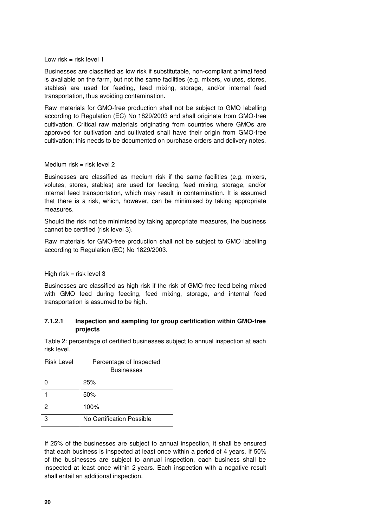#### Low risk  $=$  risk level 1

Businesses are classified as low risk if substitutable, non-compliant animal feed is available on the farm, but not the same facilities (e.g. mixers, volutes, stores, stables) are used for feeding, feed mixing, storage, and/or internal feed transportation, thus avoiding contamination.

Raw materials for GMO-free production shall not be subject to GMO labelling according to Regulation (EC) No 1829/2003 and shall originate from GMO-free cultivation. Critical raw materials originating from countries where GMOs are approved for cultivation and cultivated shall have their origin from GMO-free cultivation; this needs to be documented on purchase orders and delivery notes.

#### Medium risk  $=$  risk level 2

Businesses are classified as medium risk if the same facilities (e.g. mixers, volutes, stores, stables) are used for feeding, feed mixing, storage, and/or internal feed transportation, which may result in contamination. It is assumed that there is a risk, which, however, can be minimised by taking appropriate measures.

Should the risk not be minimised by taking appropriate measures, the business cannot be certified (risk level 3).

Raw materials for GMO-free production shall not be subject to GMO labelling according to Regulation (EC) No 1829/2003.

#### High risk  $=$  risk level 3

Businesses are classified as high risk if the risk of GMO-free feed being mixed with GMO feed during feeding, feed mixing, storage, and internal feed transportation is assumed to be high.

#### **7.1.2.1 Inspection and sampling for group certification within GMO-free projects**

Table 2: percentage of certified businesses subject to annual inspection at each risk level.

| <b>Risk Level</b> | Percentage of Inspected<br><b>Businesses</b> |
|-------------------|----------------------------------------------|
|                   | 25%                                          |
|                   | 50%                                          |
| 2                 | 100%                                         |
| 3                 | No Certification Possible                    |

If 25% of the businesses are subject to annual inspection, it shall be ensured that each business is inspected at least once within a period of 4 years. If 50% of the businesses are subject to annual inspection, each business shall be inspected at least once within 2 years. Each inspection with a negative result shall entail an additional inspection.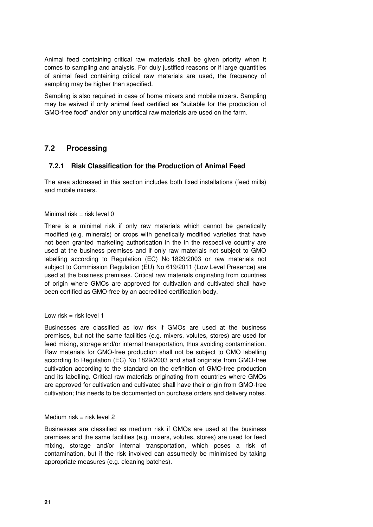Animal feed containing critical raw materials shall be given priority when it comes to sampling and analysis. For duly justified reasons or if large quantities of animal feed containing critical raw materials are used, the frequency of sampling may be higher than specified.

Sampling is also required in case of home mixers and mobile mixers. Sampling may be waived if only animal feed certified as "suitable for the production of GMO-free food" and/or only uncritical raw materials are used on the farm.

### <span id="page-20-0"></span>**7.2 Processing**

#### <span id="page-20-1"></span>**7.2.1 Risk Classification for the Production of Animal Feed**

The area addressed in this section includes both fixed installations (feed mills) and mobile mixers.

#### Minimal risk = risk level  $0$

There is a minimal risk if only raw materials which cannot be genetically modified (e.g. minerals) or crops with genetically modified varieties that have not been granted marketing authorisation in the in the respective country are used at the business premises and if only raw materials not subject to GMO labelling according to Regulation (EC) No 1829/2003 or raw materials not subject to Commission Regulation (EU) No 619/2011 (Low Level Presence) are used at the business premises. Critical raw materials originating from countries of origin where GMOs are approved for cultivation and cultivated shall have been certified as GMO-free by an accredited certification body.

#### Low risk  $=$  risk level 1

Businesses are classified as low risk if GMOs are used at the business premises, but not the same facilities (e.g. mixers, volutes, stores) are used for feed mixing, storage and/or internal transportation, thus avoiding contamination. Raw materials for GMO-free production shall not be subject to GMO labelling according to Regulation (EC) No 1829/2003 and shall originate from GMO-free cultivation according to the standard on the definition of GMO-free production and its labelling. Critical raw materials originating from countries where GMOs are approved for cultivation and cultivated shall have their origin from GMO-free cultivation; this needs to be documented on purchase orders and delivery notes.

#### Medium risk  $=$  risk level 2

Businesses are classified as medium risk if GMOs are used at the business premises and the same facilities (e.g. mixers, volutes, stores) are used for feed mixing, storage and/or internal transportation, which poses a risk of contamination, but if the risk involved can assumedly be minimised by taking appropriate measures (e.g. cleaning batches).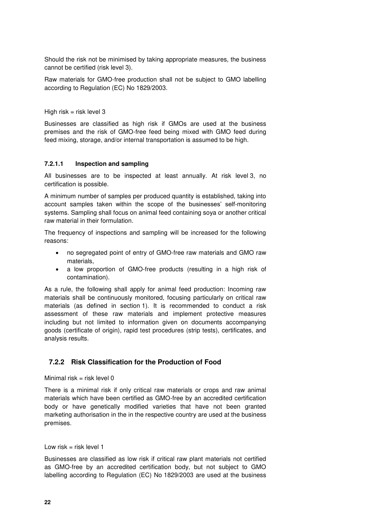Should the risk not be minimised by taking appropriate measures, the business cannot be certified (risk level 3).

Raw materials for GMO-free production shall not be subject to GMO labelling according to Regulation (EC) No 1829/2003.

High risk  $=$  risk level 3

Businesses are classified as high risk if GMOs are used at the business premises and the risk of GMO-free feed being mixed with GMO feed during feed mixing, storage, and/or internal transportation is assumed to be high.

#### **7.2.1.1 Inspection and sampling**

All businesses are to be inspected at least annually. At risk level 3, no certification is possible.

A minimum number of samples per produced quantity is established, taking into account samples taken within the scope of the businesses' self-monitoring systems. Sampling shall focus on animal feed containing soya or another critical raw material in their formulation.

The frequency of inspections and sampling will be increased for the following reasons:

- no segregated point of entry of GMO-free raw materials and GMO raw materials,
- a low proportion of GMO-free products (resulting in a high risk of contamination).

As a rule, the following shall apply for animal feed production: Incoming raw materials shall be continuously monitored, focusing particularly on critical raw materials (as defined in section 1). It is recommended to conduct a risk assessment of these raw materials and implement protective measures including but not limited to information given on documents accompanying goods (certificate of origin), rapid test procedures (strip tests), certificates, and analysis results.

#### <span id="page-21-0"></span>**7.2.2 Risk Classification for the Production of Food**

#### Minimal risk = risk level  $0$

There is a minimal risk if only critical raw materials or crops and raw animal materials which have been certified as GMO-free by an accredited certification body or have genetically modified varieties that have not been granted marketing authorisation in the in the respective country are used at the business premises.

Low risk  $=$  risk level 1

Businesses are classified as low risk if critical raw plant materials not certified as GMO-free by an accredited certification body, but not subject to GMO labelling according to Regulation (EC) No 1829/2003 are used at the business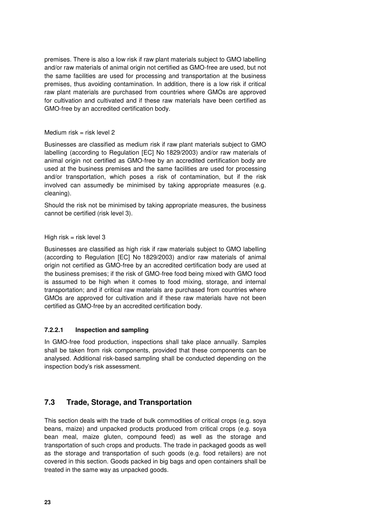premises. There is also a low risk if raw plant materials subject to GMO labelling and/or raw materials of animal origin not certified as GMO-free are used, but not the same facilities are used for processing and transportation at the business premises, thus avoiding contamination. In addition, there is a low risk if critical raw plant materials are purchased from countries where GMOs are approved for cultivation and cultivated and if these raw materials have been certified as GMO-free by an accredited certification body.

#### Medium risk  $=$  risk level 2

Businesses are classified as medium risk if raw plant materials subject to GMO labelling (according to Regulation [EC] No 1829/2003) and/or raw materials of animal origin not certified as GMO-free by an accredited certification body are used at the business premises and the same facilities are used for processing and/or transportation, which poses a risk of contamination, but if the risk involved can assumedly be minimised by taking appropriate measures (e.g. cleaning).

Should the risk not be minimised by taking appropriate measures, the business cannot be certified (risk level 3).

#### High risk  $=$  risk level 3

Businesses are classified as high risk if raw materials subject to GMO labelling (according to Regulation [EC] No 1829/2003) and/or raw materials of animal origin not certified as GMO-free by an accredited certification body are used at the business premises; if the risk of GMO-free food being mixed with GMO food is assumed to be high when it comes to food mixing, storage, and internal transportation; and if critical raw materials are purchased from countries where GMOs are approved for cultivation and if these raw materials have not been certified as GMO-free by an accredited certification body.

#### **7.2.2.1 Inspection and sampling**

In GMO-free food production, inspections shall take place annually. Samples shall be taken from risk components, provided that these components can be analysed. Additional risk-based sampling shall be conducted depending on the inspection body's risk assessment.

#### <span id="page-22-0"></span>**7.3 Trade, Storage, and Transportation**

This section deals with the trade of bulk commodities of critical crops (e.g. soya beans, maize) and unpacked products produced from critical crops (e.g. soya bean meal, maize gluten, compound feed) as well as the storage and transportation of such crops and products. The trade in packaged goods as well as the storage and transportation of such goods (e.g. food retailers) are not covered in this section. Goods packed in big bags and open containers shall be treated in the same way as unpacked goods.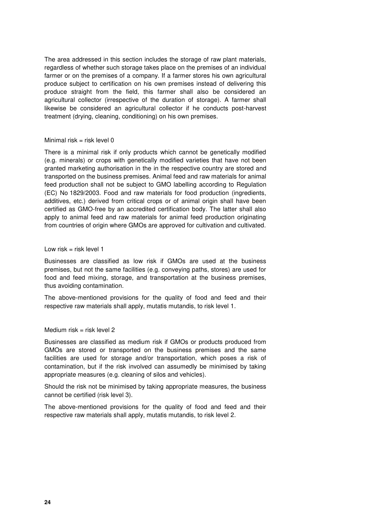The area addressed in this section includes the storage of raw plant materials, regardless of whether such storage takes place on the premises of an individual farmer or on the premises of a company. If a farmer stores his own agricultural produce subject to certification on his own premises instead of delivering this produce straight from the field, this farmer shall also be considered an agricultural collector (irrespective of the duration of storage). A farmer shall likewise be considered an agricultural collector if he conducts post-harvest treatment (drying, cleaning, conditioning) on his own premises.

#### Minimal risk = risk level  $0$

There is a minimal risk if only products which cannot be genetically modified (e.g. minerals) or crops with genetically modified varieties that have not been granted marketing authorisation in the in the respective country are stored and transported on the business premises. Animal feed and raw materials for animal feed production shall not be subject to GMO labelling according to Regulation (EC) No 1829/2003. Food and raw materials for food production (ingredients, additives, etc.) derived from critical crops or of animal origin shall have been certified as GMO-free by an accredited certification body. The latter shall also apply to animal feed and raw materials for animal feed production originating from countries of origin where GMOs are approved for cultivation and cultivated.

#### Low risk  $=$  risk level 1

Businesses are classified as low risk if GMOs are used at the business premises, but not the same facilities (e.g. conveying paths, stores) are used for food and feed mixing, storage, and transportation at the business premises, thus avoiding contamination.

The above-mentioned provisions for the quality of food and feed and their respective raw materials shall apply, mutatis mutandis, to risk level 1.

#### Medium risk = risk level 2

Businesses are classified as medium risk if GMOs or products produced from GMOs are stored or transported on the business premises and the same facilities are used for storage and/or transportation, which poses a risk of contamination, but if the risk involved can assumedly be minimised by taking appropriate measures (e.g. cleaning of silos and vehicles).

Should the risk not be minimised by taking appropriate measures, the business cannot be certified (risk level 3).

The above-mentioned provisions for the quality of food and feed and their respective raw materials shall apply, mutatis mutandis, to risk level 2.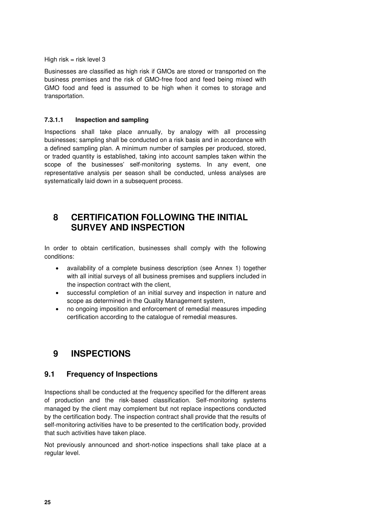High risk  $=$  risk level 3

Businesses are classified as high risk if GMOs are stored or transported on the business premises and the risk of GMO-free food and feed being mixed with GMO food and feed is assumed to be high when it comes to storage and transportation.

#### **7.3.1.1 Inspection and sampling**

Inspections shall take place annually, by analogy with all processing businesses; sampling shall be conducted on a risk basis and in accordance with a defined sampling plan. A minimum number of samples per produced, stored, or traded quantity is established, taking into account samples taken within the scope of the businesses' self-monitoring systems. In any event, one representative analysis per season shall be conducted, unless analyses are systematically laid down in a subsequent process.

# <span id="page-24-0"></span>**8 CERTIFICATION FOLLOWING THE INITIAL SURVEY AND INSPECTION**

In order to obtain certification, businesses shall comply with the following conditions:

- availability of a complete business description (see Annex 1) together with all initial surveys of all business premises and suppliers included in the inspection contract with the client,
- successful completion of an initial survey and inspection in nature and scope as determined in the Quality Management system,
- no ongoing imposition and enforcement of remedial measures impeding certification according to the catalogue of remedial measures.

# <span id="page-24-1"></span>**9 INSPECTIONS**

#### <span id="page-24-2"></span>**9.1 Frequency of Inspections**

Inspections shall be conducted at the frequency specified for the different areas of production and the risk-based classification. Self-monitoring systems managed by the client may complement but not replace inspections conducted by the certification body. The inspection contract shall provide that the results of self-monitoring activities have to be presented to the certification body, provided that such activities have taken place.

Not previously announced and short-notice inspections shall take place at a regular level.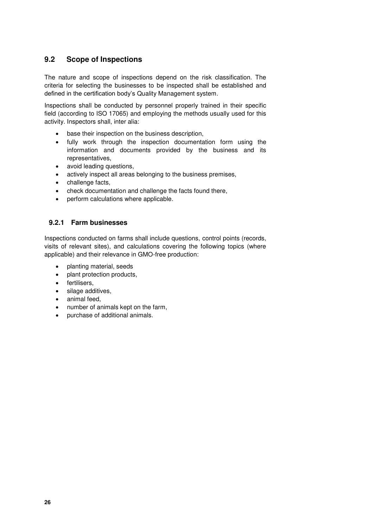### <span id="page-25-0"></span>**9.2 Scope of Inspections**

The nature and scope of inspections depend on the risk classification. The criteria for selecting the businesses to be inspected shall be established and defined in the certification body's Quality Management system.

Inspections shall be conducted by personnel properly trained in their specific field (according to ISO 17065) and employing the methods usually used for this activity. Inspectors shall, inter alia:

- base their inspection on the business description,
- fully work through the inspection documentation form using the information and documents provided by the business and its representatives,
- avoid leading questions,
- actively inspect all areas belonging to the business premises,
- challenge facts,
- check documentation and challenge the facts found there,
- perform calculations where applicable.

#### <span id="page-25-1"></span>**9.2.1 Farm businesses**

Inspections conducted on farms shall include questions, control points (records, visits of relevant sites), and calculations covering the following topics (where applicable) and their relevance in GMO-free production:

- planting material, seeds
- plant protection products,
- fertilisers,
- silage additives,
- animal feed,
- number of animals kept on the farm,
- purchase of additional animals.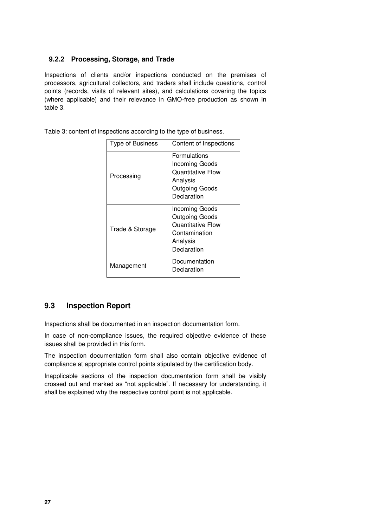#### <span id="page-26-0"></span>**9.2.2 Processing, Storage, and Trade**

Inspections of clients and/or inspections conducted on the premises of processors, agricultural collectors, and traders shall include questions, control points (records, visits of relevant sites), and calculations covering the topics (where applicable) and their relevance in GMO-free production as shown in table 3.

Table 3: content of inspections according to the type of business.

| <b>Type of Business</b> | Content of Inspections                                                                                         |
|-------------------------|----------------------------------------------------------------------------------------------------------------|
| Processing              | Formulations<br><b>Incoming Goods</b><br><b>Quantitative Flow</b><br>Analysis<br>Outgoing Goods<br>Declaration |
| Trade & Storage         | Incoming Goods<br>Outgoing Goods<br><b>Quantitative Flow</b><br>Contamination<br>Analysis<br>Declaration       |
| Management              | Documentation<br>Declaration                                                                                   |

#### <span id="page-26-1"></span>**9.3 Inspection Report**

Inspections shall be documented in an inspection documentation form.

In case of non-compliance issues, the required objective evidence of these issues shall be provided in this form.

The inspection documentation form shall also contain objective evidence of compliance at appropriate control points stipulated by the certification body.

Inapplicable sections of the inspection documentation form shall be visibly crossed out and marked as "not applicable". If necessary for understanding, it shall be explained why the respective control point is not applicable.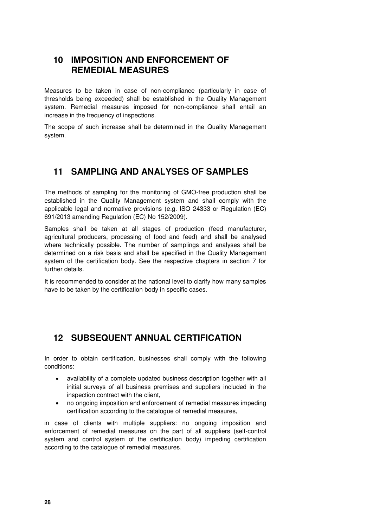# <span id="page-27-0"></span>**10 IMPOSITION AND ENFORCEMENT OF REMEDIAL MEASURES**

Measures to be taken in case of non-compliance (particularly in case of thresholds being exceeded) shall be established in the Quality Management system. Remedial measures imposed for non-compliance shall entail an increase in the frequency of inspections.

The scope of such increase shall be determined in the Quality Management system.

# <span id="page-27-1"></span>**11 SAMPLING AND ANALYSES OF SAMPLES**

The methods of sampling for the monitoring of GMO-free production shall be established in the Quality Management system and shall comply with the applicable legal and normative provisions (e.g. ISO 24333 or Regulation (EC) 691/2013 amending Regulation (EC) No 152/2009).

Samples shall be taken at all stages of production (feed manufacturer, agricultural producers, processing of food and feed) and shall be analysed where technically possible. The number of samplings and analyses shall be determined on a risk basis and shall be specified in the Quality Management system of the certification body. See the respective chapters in section 7 for further details.

It is recommended to consider at the national level to clarify how many samples have to be taken by the certification body in specific cases.

# <span id="page-27-2"></span>**12 SUBSEQUENT ANNUAL CERTIFICATION**

In order to obtain certification, businesses shall comply with the following conditions:

- availability of a complete updated business description together with all initial surveys of all business premises and suppliers included in the inspection contract with the client,
- no ongoing imposition and enforcement of remedial measures impeding certification according to the catalogue of remedial measures,

in case of clients with multiple suppliers: no ongoing imposition and enforcement of remedial measures on the part of all suppliers (self-control system and control system of the certification body) impeding certification according to the catalogue of remedial measures.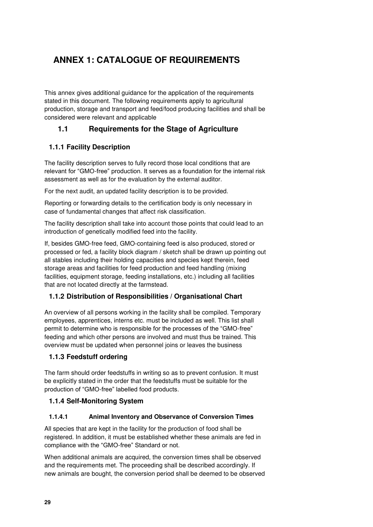# <span id="page-28-0"></span>**ANNEX 1: CATALOGUE OF REQUIREMENTS**

This annex gives additional guidance for the application of the requirements stated in this document. The following requirements apply to agricultural production, storage and transport and feed/food producing facilities and shall be considered were relevant and applicable

### <span id="page-28-1"></span>**1.1 Requirements for the Stage of Agriculture**

#### <span id="page-28-2"></span>**1.1.1 Facility Description**

The facility description serves to fully record those local conditions that are relevant for "GMO-free" production. It serves as a foundation for the internal risk assessment as well as for the evaluation by the external auditor.

For the next audit, an updated facility description is to be provided.

Reporting or forwarding details to the certification body is only necessary in case of fundamental changes that affect risk classification.

The facility description shall take into account those points that could lead to an introduction of genetically modified feed into the facility.

If, besides GMO-free feed, GMO-containing feed is also produced, stored or processed or fed, a facility block diagram / sketch shall be drawn up pointing out all stables including their holding capacities and species kept therein, feed storage areas and facilities for feed production and feed handling (mixing facilities, equipment storage, feeding installations, etc.) including all facilities that are not located directly at the farmstead.

#### <span id="page-28-3"></span>**1.1.2 Distribution of Responsibilities / Organisational Chart**

An overview of all persons working in the facility shall be compiled. Temporary employees, apprentices, interns etc. must be included as well. This list shall permit to determine who is responsible for the processes of the "GMO-free" feeding and which other persons are involved and must thus be trained. This overview must be updated when personnel joins or leaves the business

#### <span id="page-28-4"></span>**1.1.3 Feedstuff ordering**

The farm should order feedstuffs in writing so as to prevent confusion. It must be explicitly stated in the order that the feedstuffs must be suitable for the production of "GMO-free" labelled food products.

#### <span id="page-28-5"></span>**1.1.4 Self-Monitoring System**

#### **1.1.4.1 Animal Inventory and Observance of Conversion Times**

All species that are kept in the facility for the production of food shall be registered. In addition, it must be established whether these animals are fed in compliance with the "GMO-free" Standard or not.

When additional animals are acquired, the conversion times shall be observed and the requirements met. The proceeding shall be described accordingly. If new animals are bought, the conversion period shall be deemed to be observed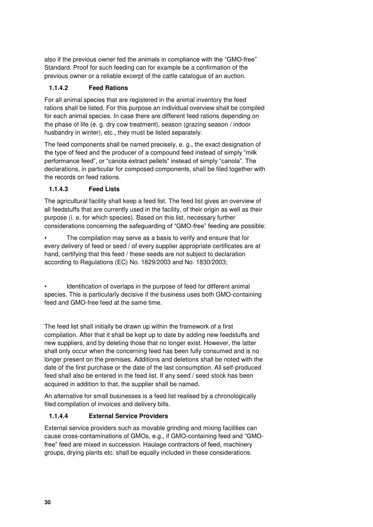also if the previous owner fed the animals in compliance with the "GMO-free" Standard. Proof for such feeding can for example be a confirmation of the previous owner or a reliable excerpt of the cattle catalogue of an auction.

#### **1.1.4.2 Feed Rations**

For all animal species that are registered in the animal inventory the feed rations shall be listed. For this purpose an individual overview shall be compiled for each animal species. In case there are different feed rations depending on the phase of life (e. g. dry cow treatment), season (grazing season / indoor husbandry in winter), etc., they must be listed separately.

The feed components shall be named precisely, e. g., the exact designation of the type of feed and the producer of a compound feed instead of simply "milk performance feed", or "canola extract pellets" instead of simply "canola". The declarations, in particular for composed components, shall be filed together with the records on feed rations.

#### **1.1.4.3 Feed Lists**

The agricultural facility shall keep a feed list. The feed list gives an overview of all feedstuffs that are currently used in the facility, of their origin as well as their purpose (i. e. for which species). Based on this list, necessary further considerations concerning the safeguarding of "GMO-free" feeding are possible:

The compilation may serve as a basis to verify and ensure that for every delivery of feed or seed / of every supplier appropriate certificates are at hand, certifying that this feed / these seeds are not subject to declaration according to Regulations (EC) No. 1829/2003 and No. 1830/2003;

Identification of overlaps in the purpose of feed for different animal species. This is particularly decisive if the business uses both GMO-containing feed and GMO-free feed at the same time.

The feed list shall initially be drawn up within the framework of a first compilation. After that it shall be kept up to date by adding new feedstuffs and new suppliers, and by deleting those that no longer exist. However, the latter shall only occur when the concerning feed has been fully consumed and is no longer present on the premises. Additions and deletions shall be noted with the date of the first purchase or the date of the last consumption. All self-produced feed shall also be entered in the feed list. If any seed / seed stock has been acquired in addition to that, the supplier shall be named.

An alternative for small businesses is a feed list realised by a chronologically filed compilation of invoices and delivery bills.

#### **1.1.4.4 External Service Providers**

External service providers such as movable grinding and mixing facilities can cause cross-contaminations of GMOs, e.g., if GMO-containing feed and "GMOfree" feed are mixed in succession. Haulage contractors of feed, machinery groups, drying plants etc. shall be equally included in these considerations.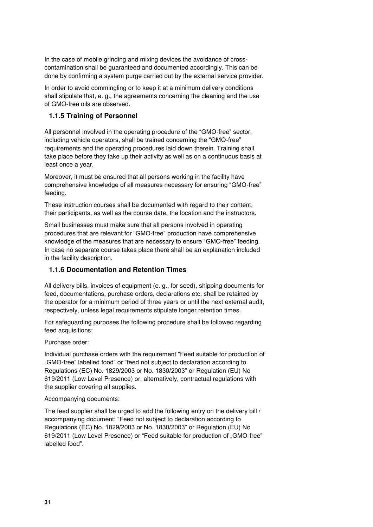In the case of mobile grinding and mixing devices the avoidance of crosscontamination shall be guaranteed and documented accordingly. This can be done by confirming a system purge carried out by the external service provider.

In order to avoid commingling or to keep it at a minimum delivery conditions shall stipulate that, e. g., the agreements concerning the cleaning and the use of GMO-free oils are observed.

#### <span id="page-30-0"></span>**1.1.5 Training of Personnel**

All personnel involved in the operating procedure of the "GMO-free" sector, including vehicle operators, shall be trained concerning the "GMO-free" requirements and the operating procedures laid down therein. Training shall take place before they take up their activity as well as on a continuous basis at least once a year.

Moreover, it must be ensured that all persons working in the facility have comprehensive knowledge of all measures necessary for ensuring "GMO-free" feeding.

These instruction courses shall be documented with regard to their content, their participants, as well as the course date, the location and the instructors.

Small businesses must make sure that all persons involved in operating procedures that are relevant for "GMO-free" production have comprehensive knowledge of the measures that are necessary to ensure "GMO-free" feeding. In case no separate course takes place there shall be an explanation included in the facility description.

#### <span id="page-30-1"></span>**1.1.6 Documentation and Retention Times**

All delivery bills, invoices of equipment (e. g., for seed), shipping documents for feed, documentations, purchase orders, declarations etc. shall be retained by the operator for a minimum period of three years or until the next external audit, respectively, unless legal requirements stipulate longer retention times.

For safeguarding purposes the following procedure shall be followed regarding feed acquisitions:

Purchase order:

Individual purchase orders with the requirement "Feed suitable for production of "GMO-free" labelled food" or "feed not subject to declaration according to Regulations (EC) No. 1829/2003 or No. 1830/2003" or Regulation (EU) No 619/2011 (Low Level Presence) or, alternatively, contractual regulations with the supplier covering all supplies.

#### Accompanying documents:

The feed supplier shall be urged to add the following entry on the delivery bill / accompanying document: "Feed not subject to declaration according to Regulations (EC) No. 1829/2003 or No. 1830/2003" or Regulation (EU) No 619/2011 (Low Level Presence) or "Feed suitable for production of "GMO-free" labelled food".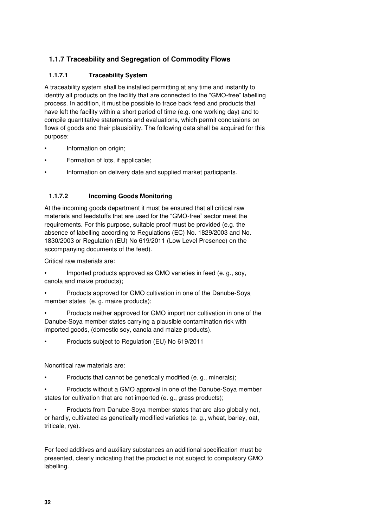# <span id="page-31-0"></span>**1.1.7 Traceability and Segregation of Commodity Flows**

#### **1.1.7.1 Traceability System**

A traceability system shall be installed permitting at any time and instantly to identify all products on the facility that are connected to the "GMO-free" labelling process. In addition, it must be possible to trace back feed and products that have left the facility within a short period of time (e.g. one working day) and to compile quantitative statements and evaluations, which permit conclusions on flows of goods and their plausibility. The following data shall be acquired for this purpose:

- Information on origin;
- Formation of lots, if applicable;
- Information on delivery date and supplied market participants.

#### **1.1.7.2 Incoming Goods Monitoring**

At the incoming goods department it must be ensured that all critical raw materials and feedstuffs that are used for the "GMO-free" sector meet the requirements. For this purpose, suitable proof must be provided (e.g. the absence of labelling according to Regulations (EC) No. 1829/2003 and No. 1830/2003 or Regulation (EU) No 619/2011 (Low Level Presence) on the accompanying documents of the feed).

Critical raw materials are:

• Imported products approved as GMO varieties in feed (e. g., soy, canola and maize products);

• Products approved for GMO cultivation in one of the Danube-Soya member states (e. g. maize products);

• Products neither approved for GMO import nor cultivation in one of the Danube-Soya member states carrying a plausible contamination risk with imported goods, (domestic soy, canola and maize products).

• Products subject to Regulation (EU) No 619/2011

Noncritical raw materials are:

• Products that cannot be genetically modified (e. g., minerals);

• Products without a GMO approval in one of the Danube-Soya member states for cultivation that are not imported (e. g., grass products);

• Products from Danube-Soya member states that are also globally not, or hardly, cultivated as genetically modified varieties (e. g., wheat, barley, oat, triticale, rye).

For feed additives and auxiliary substances an additional specification must be presented, clearly indicating that the product is not subject to compulsory GMO labelling.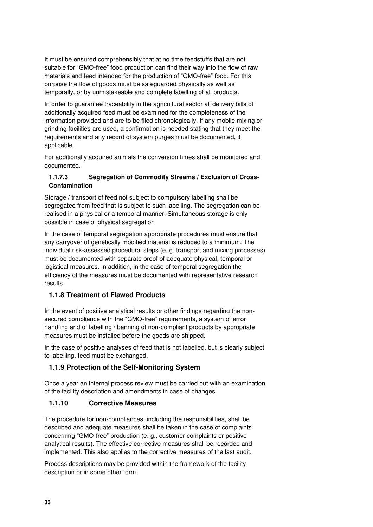It must be ensured comprehensibly that at no time feedstuffs that are not suitable for "GMO-free" food production can find their way into the flow of raw materials and feed intended for the production of "GMO-free" food. For this purpose the flow of goods must be safeguarded physically as well as temporally, or by unmistakeable and complete labelling of all products.

In order to guarantee traceability in the agricultural sector all delivery bills of additionally acquired feed must be examined for the completeness of the information provided and are to be filed chronologically. If any mobile mixing or grinding facilities are used, a confirmation is needed stating that they meet the requirements and any record of system purges must be documented, if applicable.

For additionally acquired animals the conversion times shall be monitored and documented.

#### **1.1.7.3 Segregation of Commodity Streams / Exclusion of Cross-Contamination**

Storage / transport of feed not subject to compulsory labelling shall be segregated from feed that is subject to such labelling. The segregation can be realised in a physical or a temporal manner. Simultaneous storage is only possible in case of physical segregation

In the case of temporal segregation appropriate procedures must ensure that any carryover of genetically modified material is reduced to a minimum. The individual risk-assessed procedural steps (e. g. transport and mixing processes) must be documented with separate proof of adequate physical, temporal or logistical measures. In addition, in the case of temporal segregation the efficiency of the measures must be documented with representative research results

# <span id="page-32-0"></span>**1.1.8 Treatment of Flawed Products**

In the event of positive analytical results or other findings regarding the nonsecured compliance with the "GMO-free" requirements, a system of error handling and of labelling / banning of non-compliant products by appropriate measures must be installed before the goods are shipped.

In the case of positive analyses of feed that is not labelled, but is clearly subject to labelling, feed must be exchanged.

# <span id="page-32-1"></span>**1.1.9 Protection of the Self-Monitoring System**

Once a year an internal process review must be carried out with an examination of the facility description and amendments in case of changes.

# <span id="page-32-2"></span>**1.1.10 Corrective Measures**

The procedure for non-compliances, including the responsibilities, shall be described and adequate measures shall be taken in the case of complaints concerning "GMO-free" production (e. g., customer complaints or positive analytical results). The effective corrective measures shall be recorded and implemented. This also applies to the corrective measures of the last audit.

Process descriptions may be provided within the framework of the facility description or in some other form.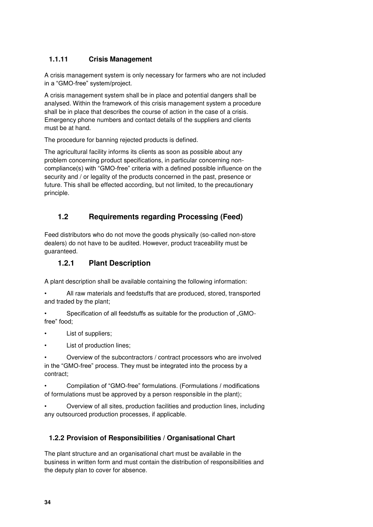### <span id="page-33-0"></span>**1.1.11 Crisis Management**

A crisis management system is only necessary for farmers who are not included in a "GMO-free" system/project.

A crisis management system shall be in place and potential dangers shall be analysed. Within the framework of this crisis management system a procedure shall be in place that describes the course of action in the case of a crisis. Emergency phone numbers and contact details of the suppliers and clients must be at hand.

The procedure for banning rejected products is defined.

The agricultural facility informs its clients as soon as possible about any problem concerning product specifications, in particular concerning noncompliance(s) with "GMO-free" criteria with a defined possible influence on the security and / or legality of the products concerned in the past, presence or future. This shall be effected according, but not limited, to the precautionary principle.

# <span id="page-33-1"></span>**1.2 Requirements regarding Processing (Feed)**

Feed distributors who do not move the goods physically (so-called non-store dealers) do not have to be audited. However, product traceability must be guaranteed.

### <span id="page-33-2"></span>**1.2.1 Plant Description**

A plant description shall be available containing the following information:

- All raw materials and feedstuffs that are produced, stored, transported and traded by the plant;
- Specification of all feedstuffs as suitable for the production of "GMOfree" food;
- List of suppliers;
- List of production lines;

• Overview of the subcontractors / contract processors who are involved in the "GMO-free" process. They must be integrated into the process by a contract;

• Compilation of "GMO-free" formulations. (Formulations / modifications of formulations must be approved by a person responsible in the plant);

• Overview of all sites, production facilities and production lines, including any outsourced production processes, if applicable.

# <span id="page-33-3"></span>**1.2.2 Provision of Responsibilities / Organisational Chart**

The plant structure and an organisational chart must be available in the business in written form and must contain the distribution of responsibilities and the deputy plan to cover for absence.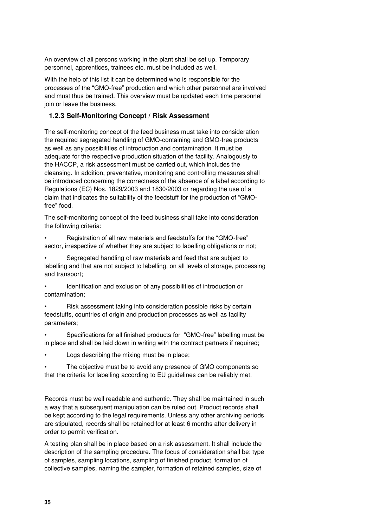An overview of all persons working in the plant shall be set up. Temporary personnel, apprentices, trainees etc. must be included as well.

With the help of this list it can be determined who is responsible for the processes of the "GMO-free" production and which other personnel are involved and must thus be trained. This overview must be updated each time personnel join or leave the business.

#### <span id="page-34-0"></span>**1.2.3 Self-Monitoring Concept / Risk Assessment**

The self-monitoring concept of the feed business must take into consideration the required segregated handling of GMO-containing and GMO-free products as well as any possibilities of introduction and contamination. It must be adequate for the respective production situation of the facility. Analogously to the HACCP, a risk assessment must be carried out, which includes the cleansing. In addition, preventative, monitoring and controlling measures shall be introduced concerning the correctness of the absence of a label according to Regulations (EC) Nos. 1829/2003 and 1830/2003 or regarding the use of a claim that indicates the suitability of the feedstuff for the production of "GMOfree" food.

The self-monitoring concept of the feed business shall take into consideration the following criteria:

• Registration of all raw materials and feedstuffs for the "GMO-free" sector, irrespective of whether they are subject to labelling obligations or not;

• Segregated handling of raw materials and feed that are subject to labelling and that are not subject to labelling, on all levels of storage, processing and transport;

• Identification and exclusion of any possibilities of introduction or contamination;

• Risk assessment taking into consideration possible risks by certain feedstuffs, countries of origin and production processes as well as facility parameters;

• Specifications for all finished products for "GMO-free" labelling must be in place and shall be laid down in writing with the contract partners if required;

Logs describing the mixing must be in place;

The objective must be to avoid any presence of GMO components so that the criteria for labelling according to EU guidelines can be reliably met.

Records must be well readable and authentic. They shall be maintained in such a way that a subsequent manipulation can be ruled out. Product records shall be kept according to the legal requirements. Unless any other archiving periods are stipulated, records shall be retained for at least 6 months after delivery in order to permit verification.

A testing plan shall be in place based on a risk assessment. It shall include the description of the sampling procedure. The focus of consideration shall be: type of samples, sampling locations, sampling of finished product, formation of collective samples, naming the sampler, formation of retained samples, size of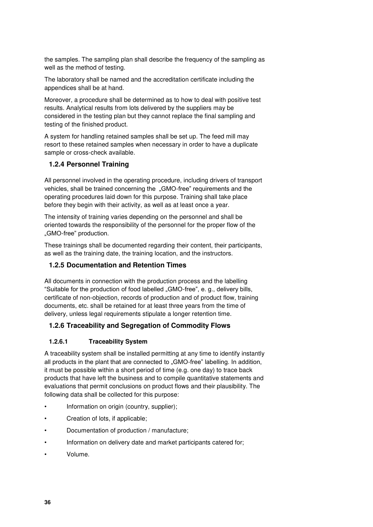the samples. The sampling plan shall describe the frequency of the sampling as well as the method of testing.

The laboratory shall be named and the accreditation certificate including the appendices shall be at hand.

Moreover, a procedure shall be determined as to how to deal with positive test results. Analytical results from lots delivered by the suppliers may be considered in the testing plan but they cannot replace the final sampling and testing of the finished product.

A system for handling retained samples shall be set up. The feed mill may resort to these retained samples when necessary in order to have a duplicate sample or cross-check available.

#### <span id="page-35-0"></span>**1.2.4 Personnel Training**

All personnel involved in the operating procedure, including drivers of transport vehicles, shall be trained concerning the "GMO-free" requirements and the operating procedures laid down for this purpose. Training shall take place before they begin with their activity, as well as at least once a year.

The intensity of training varies depending on the personnel and shall be oriented towards the responsibility of the personnel for the proper flow of the "GMO-free" production.

These trainings shall be documented regarding their content, their participants, as well as the training date, the training location, and the instructors.

#### <span id="page-35-1"></span>**1.2.5 Documentation and Retention Times**

All documents in connection with the production process and the labelling "Suitable for the production of food labelled "GMO-free", e. g., delivery bills, certificate of non-objection, records of production and of product flow, training documents, etc. shall be retained for at least three years from the time of delivery, unless legal requirements stipulate a longer retention time.

#### <span id="page-35-2"></span>**1.2.6 Traceability and Segregation of Commodity Flows**

#### **1.2.6.1 Traceability System**

A traceability system shall be installed permitting at any time to identify instantly all products in the plant that are connected to "GMO-free" labelling. In addition, it must be possible within a short period of time (e.g. one day) to trace back products that have left the business and to compile quantitative statements and evaluations that permit conclusions on product flows and their plausibility. The following data shall be collected for this purpose:

- Information on origin (country, supplier);
- Creation of lots, if applicable;
- Documentation of production / manufacture;
- Information on delivery date and market participants catered for;
- Volume.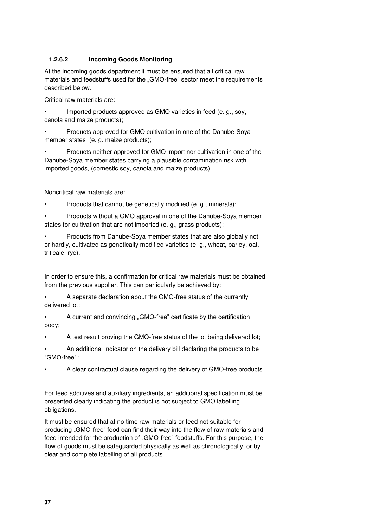#### **1.2.6.2 Incoming Goods Monitoring**

At the incoming goods department it must be ensured that all critical raw materials and feedstuffs used for the "GMO-free" sector meet the requirements described below.

Critical raw materials are:

• Imported products approved as GMO varieties in feed (e. g., soy, canola and maize products);

• Products approved for GMO cultivation in one of the Danube-Soya member states (e. g. maize products);

• Products neither approved for GMO import nor cultivation in one of the Danube-Soya member states carrying a plausible contamination risk with imported goods, (domestic soy, canola and maize products).

Noncritical raw materials are:

• Products that cannot be genetically modified (e. g., minerals);

• Products without a GMO approval in one of the Danube-Soya member states for cultivation that are not imported (e. g., grass products);

• Products from Danube-Soya member states that are also globally not, or hardly, cultivated as genetically modified varieties (e. g., wheat, barley, oat, triticale, rye).

In order to ensure this, a confirmation for critical raw materials must be obtained from the previous supplier. This can particularly be achieved by:

• A separate declaration about the GMO-free status of the currently delivered lot;

A current and convincing "GMO-free" certificate by the certification body;

• A test result proving the GMO-free status of the lot being delivered lot;

• An additional indicator on the delivery bill declaring the products to be "GMO-free" ;

• A clear contractual clause regarding the delivery of GMO-free products.

For feed additives and auxiliary ingredients, an additional specification must be presented clearly indicating the product is not subject to GMO labelling obligations.

It must be ensured that at no time raw materials or feed not suitable for producing "GMO-free" food can find their way into the flow of raw materials and feed intended for the production of "GMO-free" foodstuffs. For this purpose, the flow of goods must be safeguarded physically as well as chronologically, or by clear and complete labelling of all products.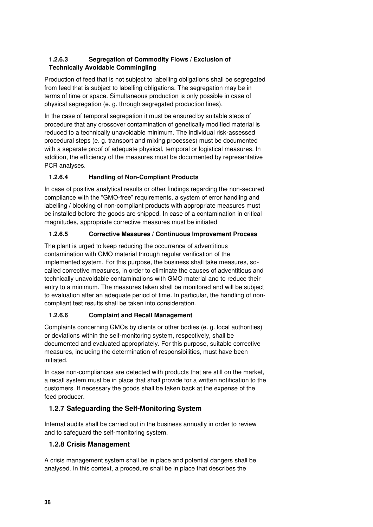#### **1.2.6.3 Segregation of Commodity Flows / Exclusion of Technically Avoidable Commingling**

Production of feed that is not subject to labelling obligations shall be segregated from feed that is subject to labelling obligations. The segregation may be in terms of time or space. Simultaneous production is only possible in case of physical segregation (e. g. through segregated production lines).

In the case of temporal segregation it must be ensured by suitable steps of procedure that any crossover contamination of genetically modified material is reduced to a technically unavoidable minimum. The individual risk-assessed procedural steps (e. g. transport and mixing processes) must be documented with a separate proof of adequate physical, temporal or logistical measures. In addition, the efficiency of the measures must be documented by representative PCR analyses.

### **1.2.6.4 Handling of Non-Compliant Products**

In case of positive analytical results or other findings regarding the non-secured compliance with the "GMO-free" requirements, a system of error handling and labelling / blocking of non-compliant products with appropriate measures must be installed before the goods are shipped. In case of a contamination in critical magnitudes, appropriate corrective measures must be initiated

### **1.2.6.5 Corrective Measures / Continuous Improvement Process**

The plant is urged to keep reducing the occurrence of adventitious contamination with GMO material through regular verification of the implemented system. For this purpose, the business shall take measures, socalled corrective measures, in order to eliminate the causes of adventitious and technically unavoidable contaminations with GMO material and to reduce their entry to a minimum. The measures taken shall be monitored and will be subject to evaluation after an adequate period of time. In particular, the handling of noncompliant test results shall be taken into consideration.

# **1.2.6.6 Complaint and Recall Management**

Complaints concerning GMOs by clients or other bodies (e. g. local authorities) or deviations within the self-monitoring system, respectively, shall be documented and evaluated appropriately. For this purpose, suitable corrective measures, including the determination of responsibilities, must have been initiated.

In case non-compliances are detected with products that are still on the market, a recall system must be in place that shall provide for a written notification to the customers. If necessary the goods shall be taken back at the expense of the feed producer.

# <span id="page-37-0"></span>**1.2.7 Safeguarding the Self-Monitoring System**

Internal audits shall be carried out in the business annually in order to review and to safeguard the self-monitoring system.

# <span id="page-37-1"></span>**1.2.8 Crisis Management**

A crisis management system shall be in place and potential dangers shall be analysed. In this context, a procedure shall be in place that describes the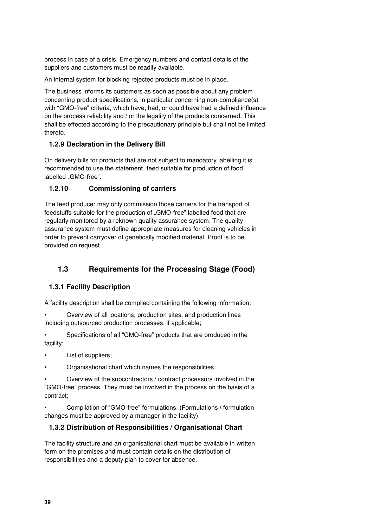process in case of a crisis. Emergency numbers and contact details of the suppliers and customers must be readily available.

An internal system for blocking rejected products must be in place.

The business informs its customers as soon as possible about any problem concerning product specifications, in particular concerning non-compliance(s) with "GMO-free" criteria, which have, had, or could have had a defined influence on the process reliability and / or the legality of the products concerned. This shall be effected according to the precautionary principle but shall not be limited thereto.

#### <span id="page-38-0"></span>**1.2.9 Declaration in the Delivery Bill**

On delivery bills for products that are not subject to mandatory labelling it is recommended to use the statement "feed suitable for production of food labelled "GMO-free".

#### <span id="page-38-1"></span>**1.2.10 Commissioning of carriers**

The feed producer may only commission those carriers for the transport of feedstuffs suitable for the production of "GMO-free" labelled food that are regularly monitored by a reknown quality assurance system. The quality assurance system must define appropriate measures for cleaning vehicles in order to prevent carryover of genetically modified material. Proof is to be provided on request.

# <span id="page-38-2"></span>**1.3 Requirements for the Processing Stage (Food)**

#### <span id="page-38-3"></span>**1.3.1 Facility Description**

A facility description shall be compiled containing the following information:

• Overview of all locations, production sites, and production lines including outsourced production processes, if applicable;

Specifications of all "GMO-free" products that are produced in the facility;

- List of suppliers;
- Organisational chart which names the responsibilities;

• Overview of the subcontractors / contract processors involved in the "GMO-free" process. They must be involved in the process on the basis of a contract;

• Compilation of "GMO-free" formulations. (Formulations / formulation changes must be approved by a manager in the facility).

#### <span id="page-38-4"></span>**1.3.2 Distribution of Responsibilities / Organisational Chart**

The facility structure and an organisational chart must be available in written form on the premises and must contain details on the distribution of responsibilities and a deputy plan to cover for absence.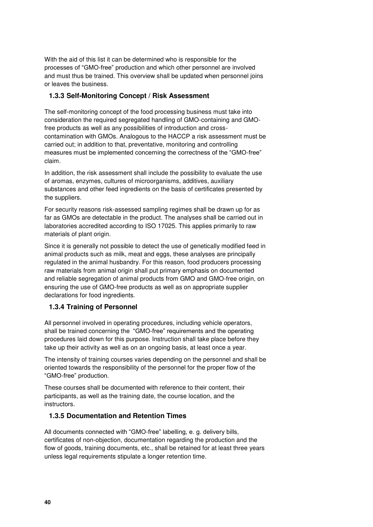With the aid of this list it can be determined who is responsible for the processes of "GMO-free" production and which other personnel are involved and must thus be trained. This overview shall be updated when personnel joins or leaves the business.

#### <span id="page-39-0"></span>**1.3.3 Self-Monitoring Concept / Risk Assessment**

The self-monitoring concept of the food processing business must take into consideration the required segregated handling of GMO-containing and GMOfree products as well as any possibilities of introduction and crosscontamination with GMOs. Analogous to the HACCP a risk assessment must be carried out; in addition to that, preventative, monitoring and controlling measures must be implemented concerning the correctness of the "GMO-free" claim.

In addition, the risk assessment shall include the possibility to evaluate the use of aromas, enzymes, cultures of microorganisms, additives, auxiliary substances and other feed ingredients on the basis of certificates presented by the suppliers.

For security reasons risk-assessed sampling regimes shall be drawn up for as far as GMOs are detectable in the product. The analyses shall be carried out in laboratories accredited according to ISO 17025. This applies primarily to raw materials of plant origin.

Since it is generally not possible to detect the use of genetically modified feed in animal products such as milk, meat and eggs, these analyses are principally regulated in the animal husbandry. For this reason, food producers processing raw materials from animal origin shall put primary emphasis on documented and reliable segregation of animal products from GMO and GMO-free origin, on ensuring the use of GMO-free products as well as on appropriate supplier declarations for food ingredients.

#### <span id="page-39-1"></span>**1.3.4 Training of Personnel**

All personnel involved in operating procedures, including vehicle operators, shall be trained concerning the "GMO-free" requirements and the operating procedures laid down for this purpose. Instruction shall take place before they take up their activity as well as on an ongoing basis, at least once a year.

The intensity of training courses varies depending on the personnel and shall be oriented towards the responsibility of the personnel for the proper flow of the "GMO-free" production.

These courses shall be documented with reference to their content, their participants, as well as the training date, the course location, and the instructors.

#### <span id="page-39-2"></span>**1.3.5 Documentation and Retention Times**

All documents connected with "GMO-free" labelling, e. g. delivery bills, certificates of non-objection, documentation regarding the production and the flow of goods, training documents, etc., shall be retained for at least three years unless legal requirements stipulate a longer retention time.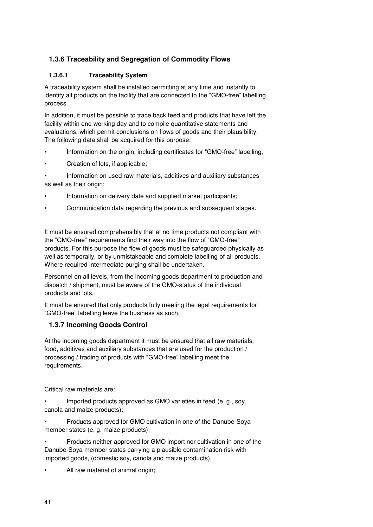# <span id="page-40-0"></span>**1.3.6 Traceability and Segregation of Commodity Flows**

#### **1.3.6.1 Traceability System**

A traceability system shall be installed permitting at any time and instantly to identify all products on the facility that are connected to the "GMO-free" labelling process.

In addition, it must be possible to trace back feed and products that have left the facility within one working day and to compile quantitative statements and evaluations, which permit conclusions on flows of goods and their plausibility. The following data shall be acquired for this purpose:

- Information on the origin, including certificates for "GMO-free" labelling;
- Creation of lots, if applicable;

• Information on used raw materials, additives and auxiliary substances as well as their origin;

- Information on delivery date and supplied market participants;
- Communication data regarding the previous and subsequent stages.

It must be ensured comprehensibly that at no time products not compliant with the "GMO-free" requirements find their way into the flow of "GMO-free" products. For this purpose the flow of goods must be safeguarded physically as well as temporally, or by unmistakeable and complete labelling of all products. Where required intermediate purging shall be undertaken.

Personnel on all levels, from the incoming goods department to production and dispatch / shipment, must be aware of the GMO-status of the individual products and lots.

It must be ensured that only products fully meeting the legal requirements for "GMO-free" labelling leave the business as such.

#### <span id="page-40-1"></span>**1.3.7 Incoming Goods Control**

At the incoming goods department it must be ensured that all raw materials, food, additives and auxiliary substances that are used for the production / processing / trading of products with "GMO-free" labelling meet the requirements.

Critical raw materials are:

Imported products approved as GMO varieties in feed (e. g., soy, canola and maize products);

• Products approved for GMO cultivation in one of the Danube-Soya member states (e. g. maize products);

• Products neither approved for GMO import nor cultivation in one of the Danube-Soya member states carrying a plausible contamination risk with imported goods, (domestic soy, canola and maize products).

All raw material of animal origin;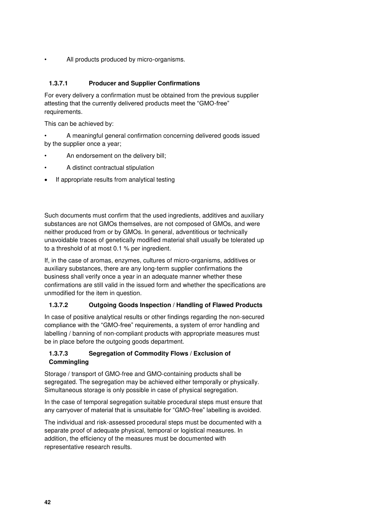All products produced by micro-organisms.

#### **1.3.7.1 Producer and Supplier Confirmations**

For every delivery a confirmation must be obtained from the previous supplier attesting that the currently delivered products meet the "GMO-free" requirements.

This can be achieved by:

- A meaningful general confirmation concerning delivered goods issued by the supplier once a year;
- An endorsement on the delivery bill;
- A distinct contractual stipulation
- If appropriate results from analytical testing

Such documents must confirm that the used ingredients, additives and auxiliary substances are not GMOs themselves, are not composed of GMOs, and were neither produced from or by GMOs. In general, adventitious or technically unavoidable traces of genetically modified material shall usually be tolerated up to a threshold of at most 0.1 % per ingredient.

If, in the case of aromas, enzymes, cultures of micro-organisms, additives or auxiliary substances, there are any long-term supplier confirmations the business shall verify once a year in an adequate manner whether these confirmations are still valid in the issued form and whether the specifications are unmodified for the item in question.

#### **1.3.7.2 Outgoing Goods Inspection / Handling of Flawed Products**

In case of positive analytical results or other findings regarding the non-secured compliance with the "GMO-free" requirements, a system of error handling and labelling / banning of non-compliant products with appropriate measures must be in place before the outgoing goods department.

#### **1.3.7.3 Segregation of Commodity Flows / Exclusion of Commingling**

Storage / transport of GMO-free and GMO-containing products shall be segregated. The segregation may be achieved either temporally or physically. Simultaneous storage is only possible in case of physical segregation.

In the case of temporal segregation suitable procedural steps must ensure that any carryover of material that is unsuitable for "GMO-free" labelling is avoided.

The individual and risk-assessed procedural steps must be documented with a separate proof of adequate physical, temporal or logistical measures. In addition, the efficiency of the measures must be documented with representative research results.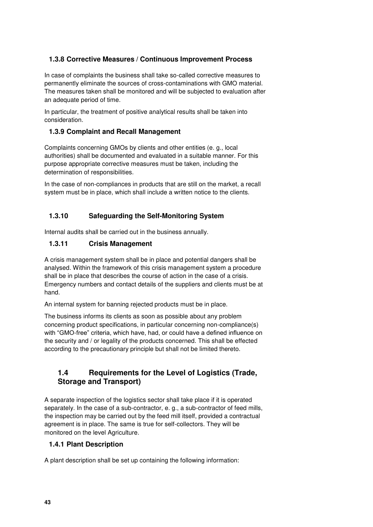#### <span id="page-42-0"></span>**1.3.8 Corrective Measures / Continuous Improvement Process**

In case of complaints the business shall take so-called corrective measures to permanently eliminate the sources of cross-contaminations with GMO material. The measures taken shall be monitored and will be subjected to evaluation after an adequate period of time.

In particular, the treatment of positive analytical results shall be taken into consideration.

#### <span id="page-42-1"></span>**1.3.9 Complaint and Recall Management**

Complaints concerning GMOs by clients and other entities (e. g., local authorities) shall be documented and evaluated in a suitable manner. For this purpose appropriate corrective measures must be taken, including the determination of responsibilities.

In the case of non-compliances in products that are still on the market, a recall system must be in place, which shall include a written notice to the clients.

### <span id="page-42-2"></span>**1.3.10 Safeguarding the Self-Monitoring System**

Internal audits shall be carried out in the business annually.

#### <span id="page-42-3"></span>**1.3.11 Crisis Management**

A crisis management system shall be in place and potential dangers shall be analysed. Within the framework of this crisis management system a procedure shall be in place that describes the course of action in the case of a crisis. Emergency numbers and contact details of the suppliers and clients must be at hand.

An internal system for banning rejected products must be in place.

The business informs its clients as soon as possible about any problem concerning product specifications, in particular concerning non-compliance(s) with "GMO-free" criteria, which have, had, or could have a defined influence on the security and / or legality of the products concerned. This shall be effected according to the precautionary principle but shall not be limited thereto.

# <span id="page-42-4"></span>**1.4 Requirements for the Level of Logistics (Trade, Storage and Transport)**

A separate inspection of the logistics sector shall take place if it is operated separately. In the case of a sub-contractor, e. g., a sub-contractor of feed mills, the inspection may be carried out by the feed mill itself, provided a contractual agreement is in place. The same is true for self-collectors. They will be monitored on the level Agriculture.

#### <span id="page-42-5"></span>**1.4.1 Plant Description**

A plant description shall be set up containing the following information: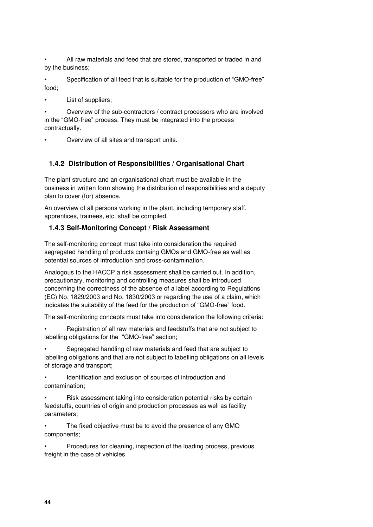All raw materials and feed that are stored, transported or traded in and by the business;

• Specification of all feed that is suitable for the production of "GMO-free" food;

List of suppliers;

• Overview of the sub-contractors / contract processors who are involved in the "GMO-free" process. They must be integrated into the process contractually.

• Overview of all sites and transport units.

#### <span id="page-43-0"></span>**1.4.2 Distribution of Responsibilities / Organisational Chart**

The plant structure and an organisational chart must be available in the business in written form showing the distribution of responsibilities and a deputy plan to cover (for) absence.

An overview of all persons working in the plant, including temporary staff, apprentices, trainees, etc. shall be compiled.

#### <span id="page-43-1"></span>**1.4.3 Self-Monitoring Concept / Risk Assessment**

The self-monitoring concept must take into consideration the required segregated handling of products containg GMOs and GMO-free as well as potential sources of introduction and cross-contamination.

Analogous to the HACCP a risk assessment shall be carried out. In addition, precautionary, monitoring and controlling measures shall be introduced concerning the correctness of the absence of a label according to Regulations (EC) No. 1829/2003 and No. 1830/2003 or regarding the use of a claim, which indicates the suitability of the feed for the production of "GMO-free" food.

The self-monitoring concepts must take into consideration the following criteria:

• Registration of all raw materials and feedstuffs that are not subject to labelling obligations for the "GMO-free" section;

• Segregated handling of raw materials and feed that are subject to labelling obligations and that are not subject to labelling obligations on all levels of storage and transport;

• Identification and exclusion of sources of introduction and contamination;

• Risk assessment taking into consideration potential risks by certain feedstuffs, countries of origin and production processes as well as facility parameters;

• The fixed objective must be to avoid the presence of any GMO components;

• Procedures for cleaning, inspection of the loading process, previous freight in the case of vehicles.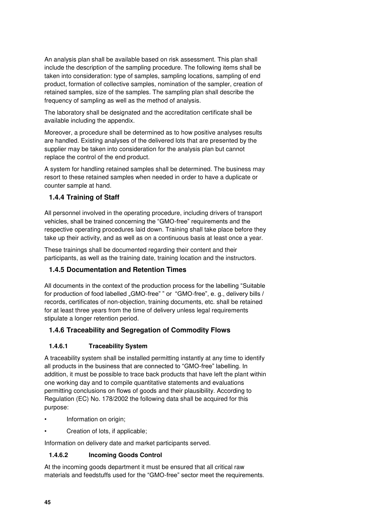An analysis plan shall be available based on risk assessment. This plan shall include the description of the sampling procedure. The following items shall be taken into consideration: type of samples, sampling locations, sampling of end product, formation of collective samples, nomination of the sampler, creation of retained samples, size of the samples. The sampling plan shall describe the frequency of sampling as well as the method of analysis.

The laboratory shall be designated and the accreditation certificate shall be available including the appendix.

Moreover, a procedure shall be determined as to how positive analyses results are handled. Existing analyses of the delivered lots that are presented by the supplier may be taken into consideration for the analysis plan but cannot replace the control of the end product.

A system for handling retained samples shall be determined. The business may resort to these retained samples when needed in order to have a duplicate or counter sample at hand.

#### <span id="page-44-0"></span>**1.4.4 Training of Staff**

All personnel involved in the operating procedure, including drivers of transport vehicles, shall be trained concerning the "GMO-free" requirements and the respective operating procedures laid down. Training shall take place before they take up their activity, and as well as on a continuous basis at least once a year.

These trainings shall be documented regarding their content and their participants, as well as the training date, training location and the instructors.

#### <span id="page-44-1"></span>**1.4.5 Documentation and Retention Times**

All documents in the context of the production process for the labelling "Suitable for production of food labelled "GMO-free" " or "GMO-free", e. g., delivery bills / records, certificates of non-objection, training documents, etc. shall be retained for at least three years from the time of delivery unless legal requirements stipulate a longer retention period.

#### <span id="page-44-2"></span>**1.4.6 Traceability and Segregation of Commodity Flows**

#### **1.4.6.1 Traceability System**

A traceability system shall be installed permitting instantly at any time to identify all products in the business that are connected to "GMO-free" labelling. In addition, it must be possible to trace back products that have left the plant within one working day and to compile quantitative statements and evaluations permitting conclusions on flows of goods and their plausibility. According to Regulation (EC) No. 178/2002 the following data shall be acquired for this purpose:

- Information on origin;
- Creation of lots, if applicable;

Information on delivery date and market participants served.

#### **1.4.6.2 Incoming Goods Control**

At the incoming goods department it must be ensured that all critical raw materials and feedstuffs used for the "GMO-free" sector meet the requirements.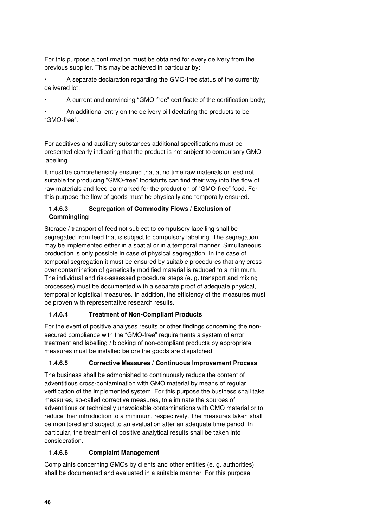For this purpose a confirmation must be obtained for every delivery from the previous supplier. This may be achieved in particular by:

• A separate declaration regarding the GMO-free status of the currently delivered lot;

• A current and convincing "GMO-free" certificate of the certification body;

• An additional entry on the delivery bill declaring the products to be "GMO-free".

For additives and auxiliary substances additional specifications must be presented clearly indicating that the product is not subject to compulsory GMO labelling.

It must be comprehensibly ensured that at no time raw materials or feed not suitable for producing "GMO-free" foodstuffs can find their way into the flow of raw materials and feed earmarked for the production of "GMO-free" food. For this purpose the flow of goods must be physically and temporally ensured.

#### **1.4.6.3 Segregation of Commodity Flows / Exclusion of Commingling**

Storage / transport of feed not subject to compulsory labelling shall be segregated from feed that is subject to compulsory labelling. The segregation may be implemented either in a spatial or in a temporal manner. Simultaneous production is only possible in case of physical segregation. In the case of temporal segregation it must be ensured by suitable procedures that any crossover contamination of genetically modified material is reduced to a minimum. The individual and risk-assessed procedural steps (e. g. transport and mixing processes) must be documented with a separate proof of adequate physical, temporal or logistical measures. In addition, the efficiency of the measures must be proven with representative research results.

# **1.4.6.4 Treatment of Non-Compliant Products**

For the event of positive analyses results or other findings concerning the nonsecured compliance with the "GMO-free" requirements a system of error treatment and labelling / blocking of non-compliant products by appropriate measures must be installed before the goods are dispatched

#### **1.4.6.5 Corrective Measures / Continuous Improvement Process**

The business shall be admonished to continuously reduce the content of adventitious cross-contamination with GMO material by means of regular verification of the implemented system. For this purpose the business shall take measures, so-called corrective measures, to eliminate the sources of adventitious or technically unavoidable contaminations with GMO material or to reduce their introduction to a minimum, respectively. The measures taken shall be monitored and subject to an evaluation after an adequate time period. In particular, the treatment of positive analytical results shall be taken into consideration.

#### **1.4.6.6 Complaint Management**

Complaints concerning GMOs by clients and other entities (e. g. authorities) shall be documented and evaluated in a suitable manner. For this purpose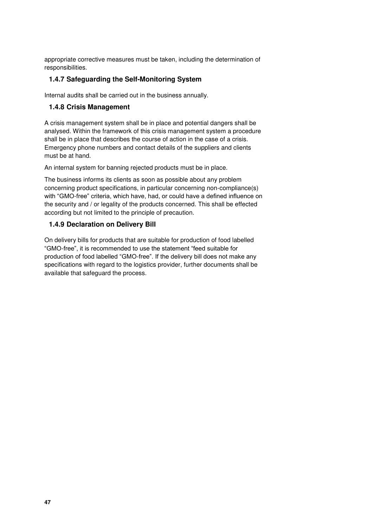appropriate corrective measures must be taken, including the determination of responsibilities.

#### <span id="page-46-0"></span>**1.4.7 Safeguarding the Self-Monitoring System**

Internal audits shall be carried out in the business annually.

#### <span id="page-46-1"></span>**1.4.8 Crisis Management**

A crisis management system shall be in place and potential dangers shall be analysed. Within the framework of this crisis management system a procedure shall be in place that describes the course of action in the case of a crisis. Emergency phone numbers and contact details of the suppliers and clients must be at hand.

An internal system for banning rejected products must be in place.

The business informs its clients as soon as possible about any problem concerning product specifications, in particular concerning non-compliance(s) with "GMO-free" criteria, which have, had, or could have a defined influence on the security and / or legality of the products concerned. This shall be effected according but not limited to the principle of precaution.

#### <span id="page-46-2"></span>**1.4.9 Declaration on Delivery Bill**

On delivery bills for products that are suitable for production of food labelled "GMO-free", it is recommended to use the statement "feed suitable for production of food labelled "GMO-free". If the delivery bill does not make any specifications with regard to the logistics provider, further documents shall be available that safeguard the process.